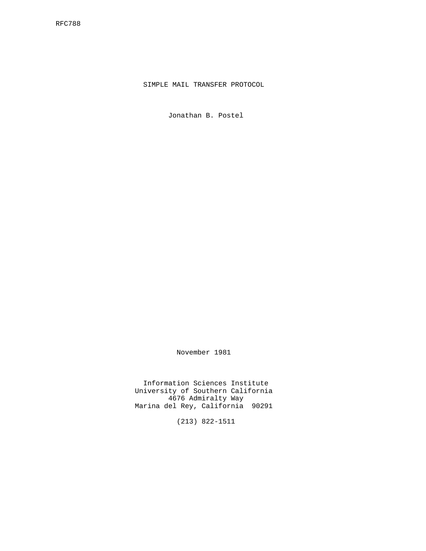SIMPLE MAIL TRANSFER PROTOCOL

Jonathan B. Postel

November 1981

 Information Sciences Institute University of Southern California 4676 Admiralty Way Marina del Rey, California 90291

(213) 822-1511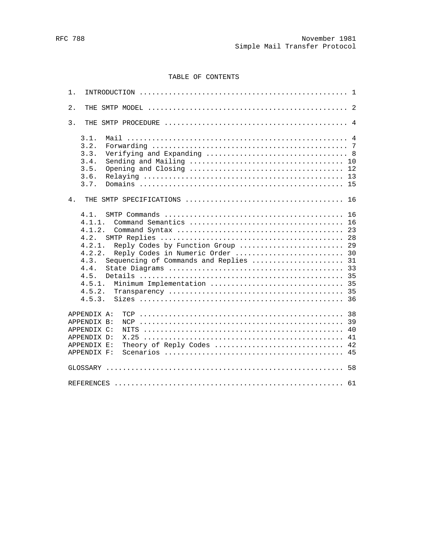# TABLE OF CONTENTS

| $1$ .                                                                                                                                                                                                                                          |                                                    |
|------------------------------------------------------------------------------------------------------------------------------------------------------------------------------------------------------------------------------------------------|----------------------------------------------------|
| 2.                                                                                                                                                                                                                                             |                                                    |
| 3.                                                                                                                                                                                                                                             |                                                    |
| 3.1.<br>3.2.<br>3.3.<br>3.4.<br>3.5.<br>3.6.<br>3.7.                                                                                                                                                                                           |                                                    |
| 4.                                                                                                                                                                                                                                             |                                                    |
| 4.1.<br>$4.1.1$ .<br>4.1.2.<br>4.2.<br>4.2.1.<br>Reply Codes by Function Group<br>4.2.2.<br>Reply Codes in Numeric Order<br>4.3.<br>Sequencing of Commands and Replies<br>4.4.<br>4.5.<br>4.5.1.<br>Minimum Implementation<br>4.5.2.<br>4.5.3. | 16<br>28<br>29<br>30<br>31<br>33<br>35<br>35<br>36 |
| APPENDIX A:<br>APPENDIX B:<br>APPENDIX C:<br>APPENDIX D:<br>Theory of Reply Codes  42<br>APPENDIX E:<br>APPENDIX F:                                                                                                                            | 38<br>40                                           |
|                                                                                                                                                                                                                                                |                                                    |
|                                                                                                                                                                                                                                                |                                                    |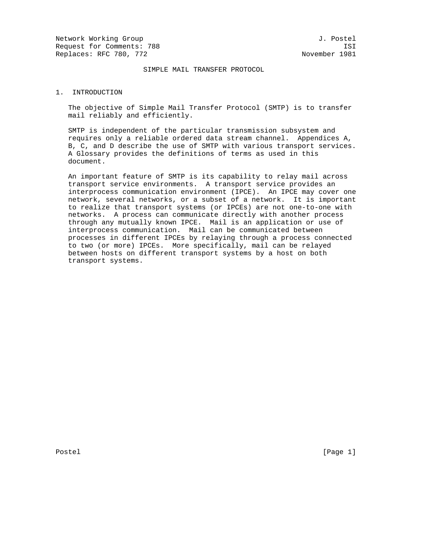Network Working Group 3. 2008 3. 2012 1. Postel Request for Comments: 788 ISI<br>Replaces: RFC 780, 772 ISI Replaces: RFC 780, 772

### SIMPLE MAIL TRANSFER PROTOCOL

#### 1. INTRODUCTION

 The objective of Simple Mail Transfer Protocol (SMTP) is to transfer mail reliably and efficiently.

 SMTP is independent of the particular transmission subsystem and requires only a reliable ordered data stream channel. Appendices A, B, C, and D describe the use of SMTP with various transport services. A Glossary provides the definitions of terms as used in this document.

 An important feature of SMTP is its capability to relay mail across transport service environments. A transport service provides an interprocess communication environment (IPCE). An IPCE may cover one network, several networks, or a subset of a network. It is important to realize that transport systems (or IPCEs) are not one-to-one with networks. A process can communicate directly with another process through any mutually known IPCE. Mail is an application or use of interprocess communication. Mail can be communicated between processes in different IPCEs by relaying through a process connected to two (or more) IPCEs. More specifically, mail can be relayed between hosts on different transport systems by a host on both transport systems.

Postel [Page 1] [Page 1]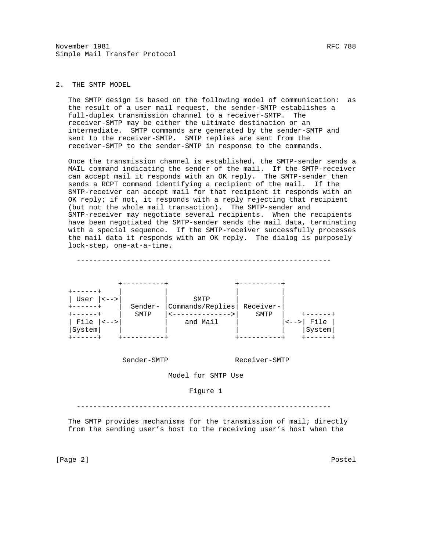November 1981 RFC 788 Simple Mail Transfer Protocol

## 2. THE SMTP MODEL

 The SMTP design is based on the following model of communication: as the result of a user mail request, the sender-SMTP establishes a full-duplex transmission channel to a receiver-SMTP. The receiver-SMTP may be either the ultimate destination or an intermediate. SMTP commands are generated by the sender-SMTP and sent to the receiver-SMTP. SMTP replies are sent from the receiver-SMTP to the sender-SMTP in response to the commands.

 Once the transmission channel is established, the SMTP-sender sends a MAIL command indicating the sender of the mail. If the SMTP-receiver can accept mail it responds with an OK reply. The SMTP-sender then sends a RCPT command identifying a recipient of the mail. If the SMTP-receiver can accept mail for that recipient it responds with an OK reply; if not, it responds with a reply rejecting that recipient (but not the whole mail transaction). The SMTP-sender and SMTP-receiver may negotiate several recipients. When the recipients have been negotiated the SMTP-sender sends the mail data, terminating with a special sequence. If the SMTP-receiver successfully processes the mail data it responds with an OK reply. The dialog is purposely lock-step, one-at-a-time.

-------------------------------------------------------------

| $ --->$<br>User |         | SMTP             |           |                     |
|-----------------|---------|------------------|-----------|---------------------|
|                 | Sender- | Commands/Replies | Receiver- |                     |
|                 | SMTP    |                  | SMTP      |                     |
| File<br>$ --->$ |         | and Mail         |           | File<br>$\lt$ - - > |
| System          |         |                  |           | System              |
|                 |         |                  |           |                     |

Sender-SMTP Receiver-SMTP

Model for SMTP Use

Figure 1

-------------------------------------------------------------

 The SMTP provides mechanisms for the transmission of mail; directly from the sending user's host to the receiving user's host when the

[Page 2] Postel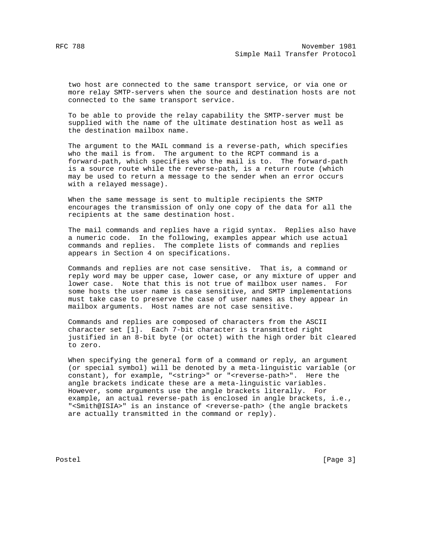two host are connected to the same transport service, or via one or more relay SMTP-servers when the source and destination hosts are not connected to the same transport service.

 To be able to provide the relay capability the SMTP-server must be supplied with the name of the ultimate destination host as well as the destination mailbox name.

 The argument to the MAIL command is a reverse-path, which specifies who the mail is from. The argument to the RCPT command is a forward-path, which specifies who the mail is to. The forward-path is a source route while the reverse-path, is a return route (which may be used to return a message to the sender when an error occurs with a relayed message).

 When the same message is sent to multiple recipients the SMTP encourages the transmission of only one copy of the data for all the recipients at the same destination host.

 The mail commands and replies have a rigid syntax. Replies also have a numeric code. In the following, examples appear which use actual commands and replies. The complete lists of commands and replies appears in Section 4 on specifications.

 Commands and replies are not case sensitive. That is, a command or reply word may be upper case, lower case, or any mixture of upper and lower case. Note that this is not true of mailbox user names. For some hosts the user name is case sensitive, and SMTP implementations must take case to preserve the case of user names as they appear in mailbox arguments. Host names are not case sensitive.

 Commands and replies are composed of characters from the ASCII character set [1]. Each 7-bit character is transmitted right justified in an 8-bit byte (or octet) with the high order bit cleared to zero.

 When specifying the general form of a command or reply, an argument (or special symbol) will be denoted by a meta-linguistic variable (or constant), for example, "<string>" or "<reverse-path>". Here the angle brackets indicate these are a meta-linguistic variables. However, some arguments use the angle brackets literally. For example, an actual reverse-path is enclosed in angle brackets, i.e., "<Smith@ISIA>" is an instance of <reverse-path> (the angle brackets are actually transmitted in the command or reply).

Postel [Page 3]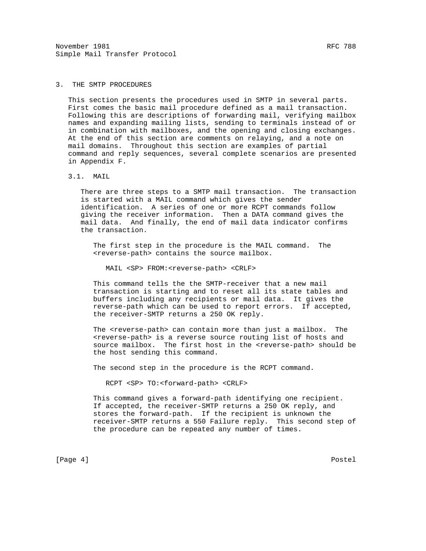November 1981 RFC 788 Simple Mail Transfer Protocol

## 3. THE SMTP PROCEDURES

 This section presents the procedures used in SMTP in several parts. First comes the basic mail procedure defined as a mail transaction. Following this are descriptions of forwarding mail, verifying mailbox names and expanding mailing lists, sending to terminals instead of or in combination with mailboxes, and the opening and closing exchanges. At the end of this section are comments on relaying, and a note on mail domains. Throughout this section are examples of partial command and reply sequences, several complete scenarios are presented in Appendix F.

### 3.1. MAIL

 There are three steps to a SMTP mail transaction. The transaction is started with a MAIL command which gives the sender identification. A series of one or more RCPT commands follow giving the receiver information. Then a DATA command gives the mail data. And finally, the end of mail data indicator confirms the transaction.

 The first step in the procedure is the MAIL command. The <reverse-path> contains the source mailbox.

MAIL <SP> FROM:<reverse-path> <CRLF>

 This command tells the the SMTP-receiver that a new mail transaction is starting and to reset all its state tables and buffers including any recipients or mail data. It gives the reverse-path which can be used to report errors. If accepted, the receiver-SMTP returns a 250 OK reply.

The <reverse-path> can contain more than just a mailbox. The <reverse-path> is a reverse source routing list of hosts and source mailbox. The first host in the <reverse-path> should be the host sending this command.

The second step in the procedure is the RCPT command.

RCPT <SP> TO:<forward-path> <CRLF>

 This command gives a forward-path identifying one recipient. If accepted, the receiver-SMTP returns a 250 OK reply, and stores the forward-path. If the recipient is unknown the receiver-SMTP returns a 550 Failure reply. This second step of the procedure can be repeated any number of times.

[Page 4] Postel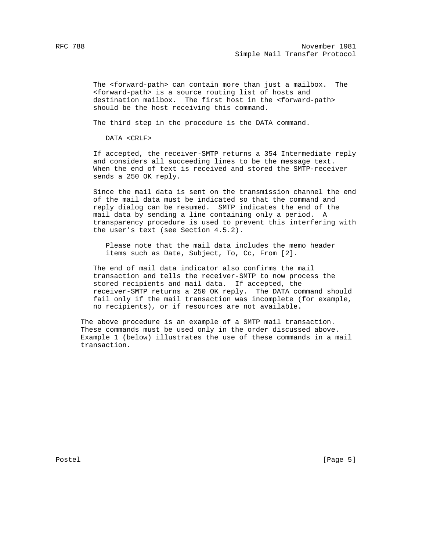The <forward-path> can contain more than just a mailbox. The <forward-path> is a source routing list of hosts and destination mailbox. The first host in the <forward-path> should be the host receiving this command.

The third step in the procedure is the DATA command.

DATA <CRLF>

 If accepted, the receiver-SMTP returns a 354 Intermediate reply and considers all succeeding lines to be the message text. When the end of text is received and stored the SMTP-receiver sends a 250 OK reply.

 Since the mail data is sent on the transmission channel the end of the mail data must be indicated so that the command and reply dialog can be resumed. SMTP indicates the end of the mail data by sending a line containing only a period. A transparency procedure is used to prevent this interfering with the user's text (see Section 4.5.2).

 Please note that the mail data includes the memo header items such as Date, Subject, To, Cc, From [2].

 The end of mail data indicator also confirms the mail transaction and tells the receiver-SMTP to now process the stored recipients and mail data. If accepted, the receiver-SMTP returns a 250 OK reply. The DATA command should fail only if the mail transaction was incomplete (for example, no recipients), or if resources are not available.

 The above procedure is an example of a SMTP mail transaction. These commands must be used only in the order discussed above. Example 1 (below) illustrates the use of these commands in a mail transaction.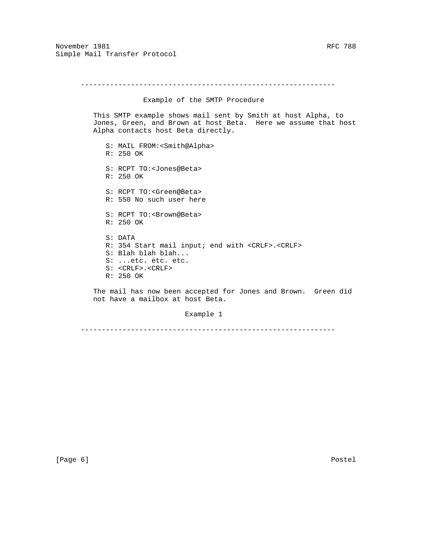#### -------------------------------------------------------------

### Example of the SMTP Procedure

 This SMTP example shows mail sent by Smith at host Alpha, to Jones, Green, and Brown at host Beta. Here we assume that host Alpha contacts host Beta directly.

- S: MAIL FROM:<Smith@Alpha> R: 250 OK
- S: RCPT TO:<Jones@Beta> R: 250 OK

 S: RCPT TO:<Green@Beta> R: 550 No such user here

 S: RCPT TO:<Brown@Beta> R: 250 OK

 S: DATA R: 354 Start mail input; end with <CRLF>.<CRLF> S: Blah blah blah... S: ...etc. etc. etc. S: <CRLF>.<CRLF> R: 250 OK

 The mail has now been accepted for Jones and Brown. Green did not have a mailbox at host Beta.

Example 1

-------------------------------------------------------------

[Page 6] Postel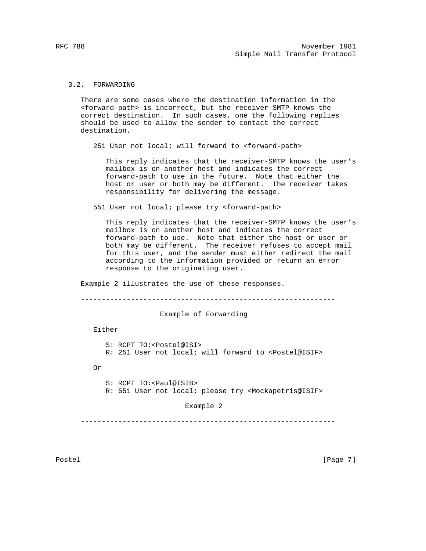# 3.2. FORWARDING

 There are some cases where the destination information in the <forward-path> is incorrect, but the receiver-SMTP knows the correct destination. In such cases, one the following replies should be used to allow the sender to contact the correct destination.

251 User not local; will forward to <forward-path>

 This reply indicates that the receiver-SMTP knows the user's mailbox is on another host and indicates the correct forward-path to use in the future. Note that either the host or user or both may be different. The receiver takes responsibility for delivering the message.

551 User not local; please try <forward-path>

 This reply indicates that the receiver-SMTP knows the user's mailbox is on another host and indicates the correct forward-path to use. Note that either the host or user or both may be different. The receiver refuses to accept mail for this user, and the sender must either redirect the mail according to the information provided or return an error response to the originating user.

Example 2 illustrates the use of these responses.

-------------------------------------------------------------

Example of Forwarding

Either

 S: RCPT TO:<Postel@ISI> R: 251 User not local; will forward to <Postel@ISIF>

Or

 S: RCPT TO:<Paul@ISIB> R: 551 User not local; please try <Mockapetris@ISIF>

Example 2

-------------------------------------------------------------

Postel [Page 7]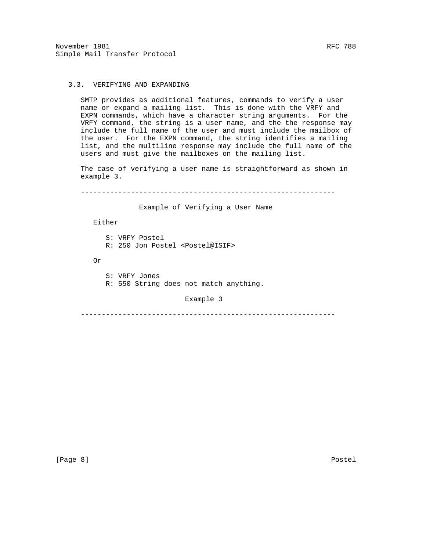# 3.3. VERIFYING AND EXPANDING

 SMTP provides as additional features, commands to verify a user name or expand a mailing list. This is done with the VRFY and EXPN commands, which have a character string arguments. For the VRFY command, the string is a user name, and the the response may include the full name of the user and must include the mailbox of the user. For the EXPN command, the string identifies a mailing list, and the multiline response may include the full name of the users and must give the mailboxes on the mailing list.

 The case of verifying a user name is straightforward as shown in example 3.

-------------------------------------------------------------

Example of Verifying a User Name

Either

 S: VRFY Postel R: 250 Jon Postel <Postel@ISIF>

Or

 S: VRFY Jones R: 550 String does not match anything.

Example 3

-------------------------------------------------------------

[Page 8] Postel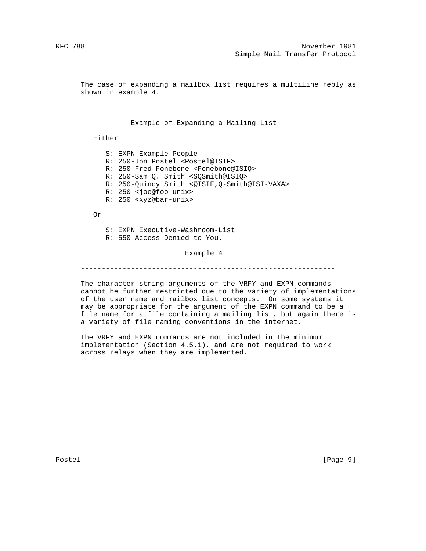The case of expanding a mailbox list requires a multiline reply as shown in example 4.

-------------------------------------------------------------

Example of Expanding a Mailing List

Either

 S: EXPN Example-People R: 250-Jon Postel <Postel@ISIF> R: 250-Fred Fonebone <Fonebone@ISIQ> R: 250-Sam Q. Smith <SQSmith@ISIQ> R: 250-Quincy Smith <@ISIF,Q-Smith@ISI-VAXA> R: 250-<joe@foo-unix> R: 250 <xyz@bar-unix>

Or

 S: EXPN Executive-Washroom-List R: 550 Access Denied to You.

Example 4

-------------------------------------------------------------

 The character string arguments of the VRFY and EXPN commands cannot be further restricted due to the variety of implementations of the user name and mailbox list concepts. On some systems it may be appropriate for the argument of the EXPN command to be a file name for a file containing a mailing list, but again there is a variety of file naming conventions in the internet.

 The VRFY and EXPN commands are not included in the minimum implementation (Section 4.5.1), and are not required to work across relays when they are implemented.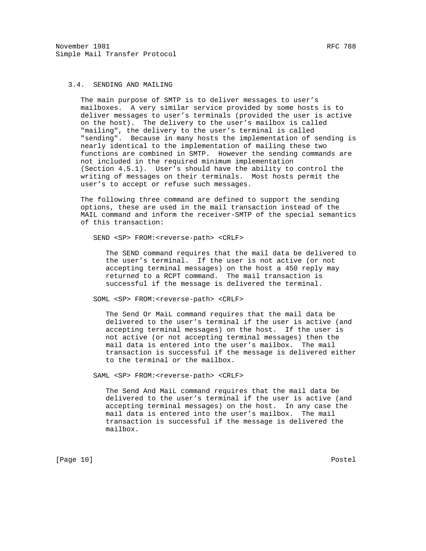# 3.4. SENDING AND MAILING

 The main purpose of SMTP is to deliver messages to user's mailboxes. A very similar service provided by some hosts is to deliver messages to user's terminals (provided the user is active on the host). The delivery to the user's mailbox is called "mailing", the delivery to the user's terminal is called "sending". Because in many hosts the implementation of sending is nearly identical to the implementation of mailing these two functions are combined in SMTP. However the sending commands are not included in the required minimum implementation (Section 4.5.1). User's should have the ability to control the writing of messages on their terminals. Most hosts permit the user's to accept or refuse such messages.

 The following three command are defined to support the sending options, these are used in the mail transaction instead of the MAIL command and inform the receiver-SMTP of the special semantics of this transaction:

SEND <SP> FROM:<reverse-path> <CRLF>

 The SEND command requires that the mail data be delivered to the user's terminal. If the user is not active (or not accepting terminal messages) on the host a 450 reply may returned to a RCPT command. The mail transaction is successful if the message is delivered the terminal.

SOML <SP> FROM:<reverse-path> <CRLF>

 The Send Or MaiL command requires that the mail data be delivered to the user's terminal if the user is active (and accepting terminal messages) on the host. If the user is not active (or not accepting terminal messages) then the mail data is entered into the user's mailbox. The mail transaction is successful if the message is delivered either to the terminal or the mailbox.

SAML <SP> FROM:<reverse-path> <CRLF>

 The Send And MaiL command requires that the mail data be delivered to the user's terminal if the user is active (and accepting terminal messages) on the host. In any case the mail data is entered into the user's mailbox. The mail transaction is successful if the message is delivered the mailbox.

[Page 10] Postel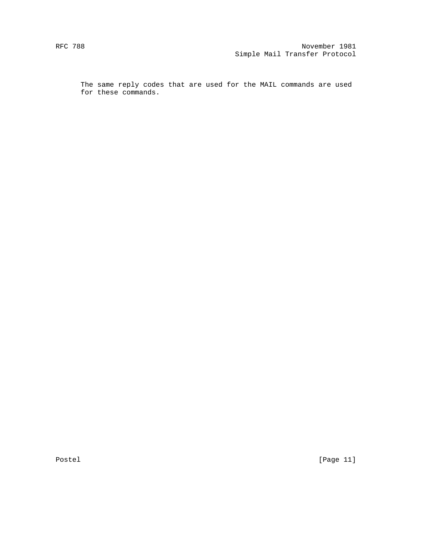The same reply codes that are used for the MAIL commands are used for these commands.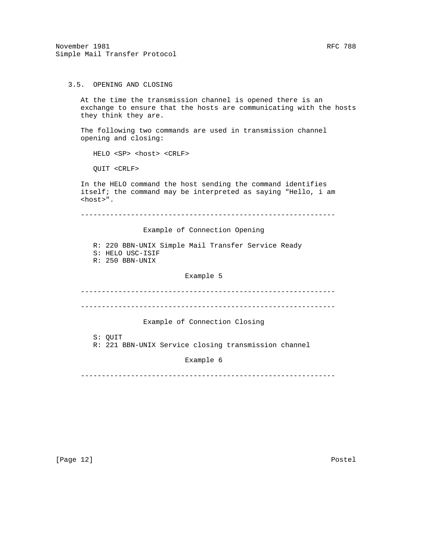## 3.5. OPENING AND CLOSING

 At the time the transmission channel is opened there is an exchange to ensure that the hosts are communicating with the hosts they think they are.

 The following two commands are used in transmission channel opening and closing:

HELO <SP> <host> <CRLF>

QUIT <CRLF>

 In the HELO command the host sending the command identifies itself; the command may be interpreted as saying "Hello, i am <host>".

-------------------------------------------------------------

#### Example of Connection Opening

 R: 220 BBN-UNIX Simple Mail Transfer Service Ready S: HELO USC-ISIF

R: 250 BBN-UNIX

#### Example 5

-------------------------------------------------------------

-------------------------------------------------------------

Example of Connection Closing

S: QUIT

R: 221 BBN-UNIX Service closing transmission channel

Example 6

-------------------------------------------------------------

[Page 12] Postel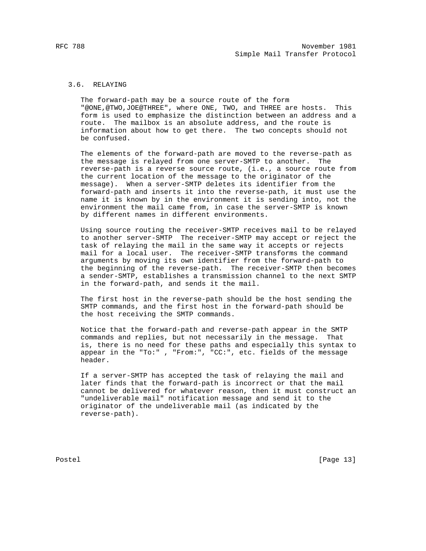## 3.6. RELAYING

 The forward-path may be a source route of the form "@ONE,@TWO,JOE@THREE", where ONE, TWO, and THREE are hosts. This form is used to emphasize the distinction between an address and a route. The mailbox is an absolute address, and the route is information about how to get there. The two concepts should not be confused.

 The elements of the forward-path are moved to the reverse-path as the message is relayed from one server-SMTP to another. The reverse-path is a reverse source route, (i.e., a source route from the current location of the message to the originator of the message). When a server-SMTP deletes its identifier from the forward-path and inserts it into the reverse-path, it must use the name it is known by in the environment it is sending into, not the environment the mail came from, in case the server-SMTP is known by different names in different environments.

 Using source routing the receiver-SMTP receives mail to be relayed to another server-SMTP The receiver-SMTP may accept or reject the task of relaying the mail in the same way it accepts or rejects mail for a local user. The receiver-SMTP transforms the command arguments by moving its own identifier from the forward-path to the beginning of the reverse-path. The receiver-SMTP then becomes a sender-SMTP, establishes a transmission channel to the next SMTP in the forward-path, and sends it the mail.

 The first host in the reverse-path should be the host sending the SMTP commands, and the first host in the forward-path should be the host receiving the SMTP commands.

 Notice that the forward-path and reverse-path appear in the SMTP commands and replies, but not necessarily in the message. That is, there is no need for these paths and especially this syntax to appear in the "To:" , "From:", "CC:", etc. fields of the message header.

 If a server-SMTP has accepted the task of relaying the mail and later finds that the forward-path is incorrect or that the mail cannot be delivered for whatever reason, then it must construct an "undeliverable mail" notification message and send it to the originator of the undeliverable mail (as indicated by the reverse-path).

Postel [Page 13]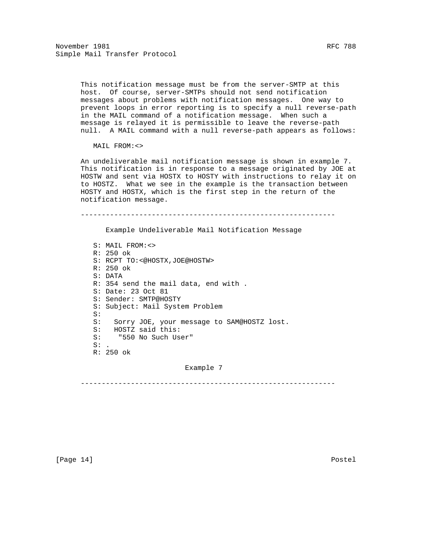This notification message must be from the server-SMTP at this host. Of course, server-SMTPs should not send notification messages about problems with notification messages. One way to prevent loops in error reporting is to specify a null reverse-path in the MAIL command of a notification message. When such a message is relayed it is permissible to leave the reverse-path null. A MAIL command with a null reverse-path appears as follows:

MAIL FROM:<>

 An undeliverable mail notification message is shown in example 7. This notification is in response to a message originated by JOE at HOSTW and sent via HOSTX to HOSTY with instructions to relay it on to HOSTZ. What we see in the example is the transaction between HOSTY and HOSTX, which is the first step in the return of the notification message.

-------------------------------------------------------------

Example Undeliverable Mail Notification Message

 S: MAIL FROM:<> R: 250 ok S: RCPT TO:<@HOSTX,JOE@HOSTW> R: 250 ok S: DATA R: 354 send the mail data, end with . S: Date: 23 Oct 81 S: Sender: SMTP@HOSTY S: Subject: Mail System Problem S: S: Sorry JOE, your message to SAM@HOSTZ lost. S: HOSTZ said this: S: "550 No Such User"  $S:$ . R: 250 ok

Example 7

-------------------------------------------------------------

[Page 14] Postel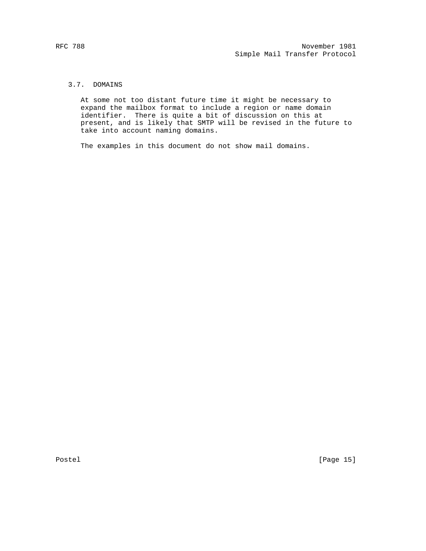# 3.7. DOMAINS

 At some not too distant future time it might be necessary to expand the mailbox format to include a region or name domain identifier. There is quite a bit of discussion on this at present, and is likely that SMTP will be revised in the future to take into account naming domains.

The examples in this document do not show mail domains.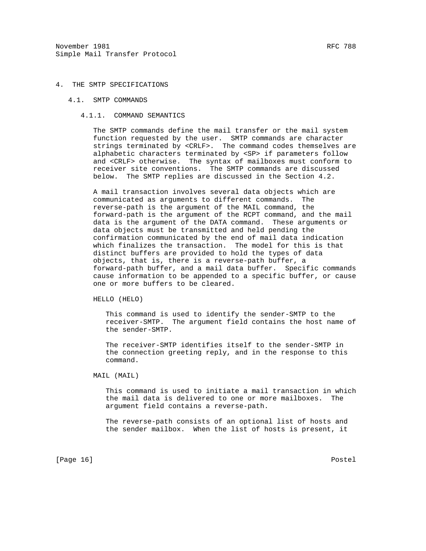## 4. THE SMTP SPECIFICATIONS

4.1. SMTP COMMANDS

#### 4.1.1. COMMAND SEMANTICS

 The SMTP commands define the mail transfer or the mail system function requested by the user. SMTP commands are character strings terminated by <CRLF>. The command codes themselves are alphabetic characters terminated by <SP> if parameters follow and <CRLF> otherwise. The syntax of mailboxes must conform to receiver site conventions. The SMTP commands are discussed below. The SMTP replies are discussed in the Section 4.2.

 A mail transaction involves several data objects which are communicated as arguments to different commands. The reverse-path is the argument of the MAIL command, the forward-path is the argument of the RCPT command, and the mail data is the argument of the DATA command. These arguments or data objects must be transmitted and held pending the confirmation communicated by the end of mail data indication which finalizes the transaction. The model for this is that distinct buffers are provided to hold the types of data objects, that is, there is a reverse-path buffer, a forward-path buffer, and a mail data buffer. Specific commands cause information to be appended to a specific buffer, or cause one or more buffers to be cleared.

HELLO (HELO)

 This command is used to identify the sender-SMTP to the receiver-SMTP. The argument field contains the host name of the sender-SMTP.

 The receiver-SMTP identifies itself to the sender-SMTP in the connection greeting reply, and in the response to this command.

MAIL (MAIL)

 This command is used to initiate a mail transaction in which the mail data is delivered to one or more mailboxes. The argument field contains a reverse-path.

 The reverse-path consists of an optional list of hosts and the sender mailbox. When the list of hosts is present, it

[Page 16] Postel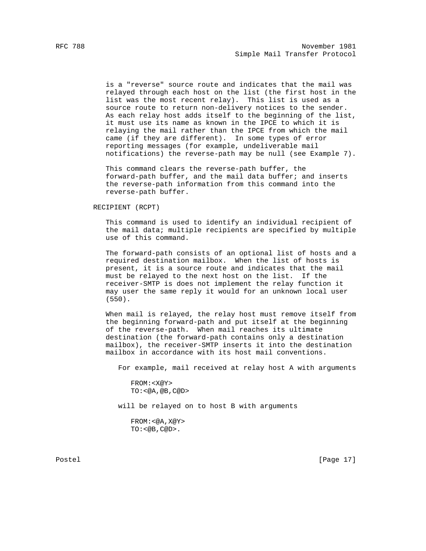is a "reverse" source route and indicates that the mail was relayed through each host on the list (the first host in the list was the most recent relay). This list is used as a source route to return non-delivery notices to the sender. As each relay host adds itself to the beginning of the list, it must use its name as known in the IPCE to which it is relaying the mail rather than the IPCE from which the mail came (if they are different). In some types of error reporting messages (for example, undeliverable mail notifications) the reverse-path may be null (see Example 7).

 This command clears the reverse-path buffer, the forward-path buffer, and the mail data buffer; and inserts the reverse-path information from this command into the reverse-path buffer.

#### RECIPIENT (RCPT)

 This command is used to identify an individual recipient of the mail data; multiple recipients are specified by multiple use of this command.

 The forward-path consists of an optional list of hosts and a required destination mailbox. When the list of hosts is present, it is a source route and indicates that the mail must be relayed to the next host on the list. If the receiver-SMTP is does not implement the relay function it may user the same reply it would for an unknown local user (550).

 When mail is relayed, the relay host must remove itself from the beginning forward-path and put itself at the beginning of the reverse-path. When mail reaches its ultimate destination (the forward-path contains only a destination mailbox), the receiver-SMTP inserts it into the destination mailbox in accordance with its host mail conventions.

For example, mail received at relay host A with arguments

 FROM:<X@Y> TO:<@A,@B,C@D>

will be relayed on to host B with arguments

 FROM:<@A,X@Y> TO:<@B,C@D>.

Postel [Page 17]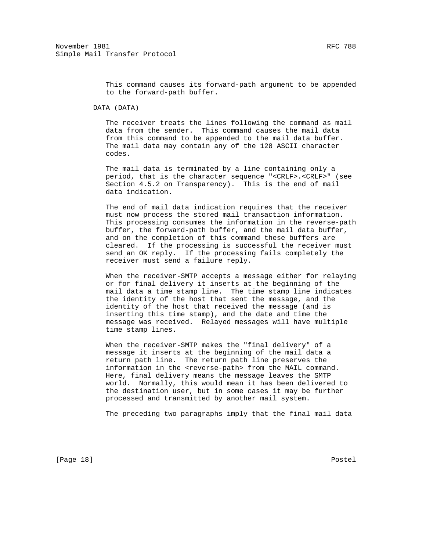This command causes its forward-path argument to be appended to the forward-path buffer.

DATA (DATA)

 The receiver treats the lines following the command as mail data from the sender. This command causes the mail data from this command to be appended to the mail data buffer. The mail data may contain any of the 128 ASCII character codes.

 The mail data is terminated by a line containing only a period, that is the character sequence "<CRLF>.<CRLF>" (see Section 4.5.2 on Transparency). This is the end of mail data indication.

 The end of mail data indication requires that the receiver must now process the stored mail transaction information. This processing consumes the information in the reverse-path buffer, the forward-path buffer, and the mail data buffer, and on the completion of this command these buffers are cleared. If the processing is successful the receiver must send an OK reply. If the processing fails completely the receiver must send a failure reply.

 When the receiver-SMTP accepts a message either for relaying or for final delivery it inserts at the beginning of the mail data a time stamp line. The time stamp line indicates the identity of the host that sent the message, and the identity of the host that received the message (and is inserting this time stamp), and the date and time the message was received. Relayed messages will have multiple time stamp lines.

 When the receiver-SMTP makes the "final delivery" of a message it inserts at the beginning of the mail data a return path line. The return path line preserves the information in the <reverse-path> from the MAIL command. Here, final delivery means the message leaves the SMTP world. Normally, this would mean it has been delivered to the destination user, but in some cases it may be further processed and transmitted by another mail system.

The preceding two paragraphs imply that the final mail data

[Page 18] Postel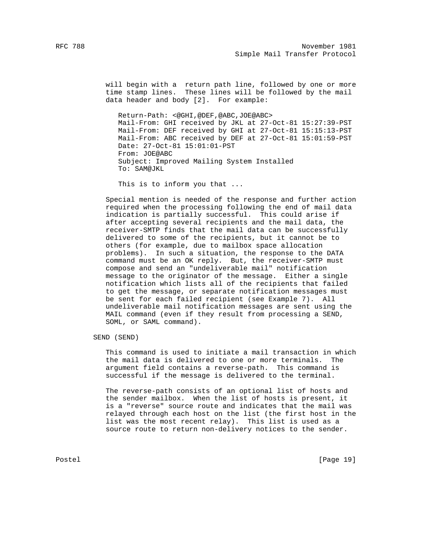will begin with a return path line, followed by one or more time stamp lines. These lines will be followed by the mail data header and body [2]. For example:

 Return-Path: <@GHI,@DEF,@ABC,JOE@ABC> Mail-From: GHI received by JKL at 27-Oct-81 15:27:39-PST Mail-From: DEF received by GHI at 27-Oct-81 15:15:13-PST Mail-From: ABC received by DEF at 27-Oct-81 15:01:59-PST Date: 27-Oct-81 15:01:01-PST From: JOE@ABC Subject: Improved Mailing System Installed To: SAM@JKL

This is to inform you that ...

 Special mention is needed of the response and further action required when the processing following the end of mail data indication is partially successful. This could arise if after accepting several recipients and the mail data, the receiver-SMTP finds that the mail data can be successfully delivered to some of the recipients, but it cannot be to others (for example, due to mailbox space allocation problems). In such a situation, the response to the DATA command must be an OK reply. But, the receiver-SMTP must compose and send an "undeliverable mail" notification message to the originator of the message. Either a single notification which lists all of the recipients that failed to get the message, or separate notification messages must be sent for each failed recipient (see Example 7). All undeliverable mail notification messages are sent using the MAIL command (even if they result from processing a SEND, SOML, or SAML command).

SEND (SEND)

 This command is used to initiate a mail transaction in which the mail data is delivered to one or more terminals. The argument field contains a reverse-path. This command is successful if the message is delivered to the terminal.

 The reverse-path consists of an optional list of hosts and the sender mailbox. When the list of hosts is present, it is a "reverse" source route and indicates that the mail was relayed through each host on the list (the first host in the list was the most recent relay). This list is used as a source route to return non-delivery notices to the sender.

Postel [Page 19]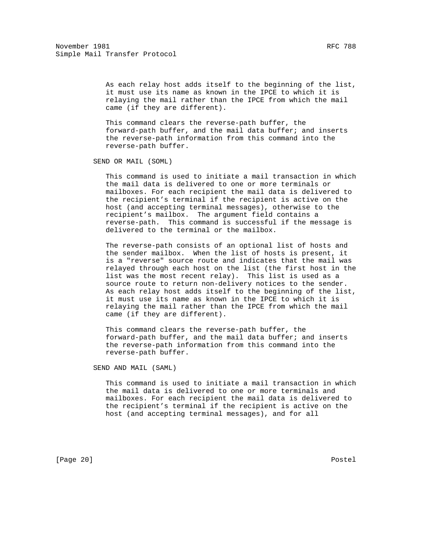As each relay host adds itself to the beginning of the list, it must use its name as known in the IPCE to which it is relaying the mail rather than the IPCE from which the mail came (if they are different).

 This command clears the reverse-path buffer, the forward-path buffer, and the mail data buffer; and inserts the reverse-path information from this command into the reverse-path buffer.

SEND OR MAIL (SOML)

 This command is used to initiate a mail transaction in which the mail data is delivered to one or more terminals or mailboxes. For each recipient the mail data is delivered to the recipient's terminal if the recipient is active on the host (and accepting terminal messages), otherwise to the recipient's mailbox. The argument field contains a reverse-path. This command is successful if the message is delivered to the terminal or the mailbox.

 The reverse-path consists of an optional list of hosts and the sender mailbox. When the list of hosts is present, it is a "reverse" source route and indicates that the mail was relayed through each host on the list (the first host in the list was the most recent relay). This list is used as a source route to return non-delivery notices to the sender. As each relay host adds itself to the beginning of the list, it must use its name as known in the IPCE to which it is relaying the mail rather than the IPCE from which the mail came (if they are different).

 This command clears the reverse-path buffer, the forward-path buffer, and the mail data buffer; and inserts the reverse-path information from this command into the reverse-path buffer.

SEND AND MAIL (SAML)

 This command is used to initiate a mail transaction in which the mail data is delivered to one or more terminals and mailboxes. For each recipient the mail data is delivered to the recipient's terminal if the recipient is active on the host (and accepting terminal messages), and for all

[Page 20] Postel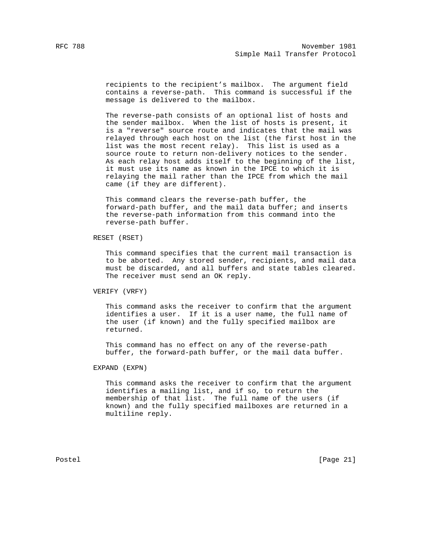recipients to the recipient's mailbox. The argument field contains a reverse-path. This command is successful if the message is delivered to the mailbox.

 The reverse-path consists of an optional list of hosts and the sender mailbox. When the list of hosts is present, it is a "reverse" source route and indicates that the mail was relayed through each host on the list (the first host in the list was the most recent relay). This list is used as a source route to return non-delivery notices to the sender. As each relay host adds itself to the beginning of the list, it must use its name as known in the IPCE to which it is relaying the mail rather than the IPCE from which the mail came (if they are different).

 This command clears the reverse-path buffer, the forward-path buffer, and the mail data buffer; and inserts the reverse-path information from this command into the reverse-path buffer.

RESET (RSET)

 This command specifies that the current mail transaction is to be aborted. Any stored sender, recipients, and mail data must be discarded, and all buffers and state tables cleared. The receiver must send an OK reply.

VERIFY (VRFY)

 This command asks the receiver to confirm that the argument identifies a user. If it is a user name, the full name of the user (if known) and the fully specified mailbox are returned.

 This command has no effect on any of the reverse-path buffer, the forward-path buffer, or the mail data buffer.

EXPAND (EXPN)

 This command asks the receiver to confirm that the argument identifies a mailing list, and if so, to return the membership of that list. The full name of the users (if known) and the fully specified mailboxes are returned in a multiline reply.

Postel [Page 21]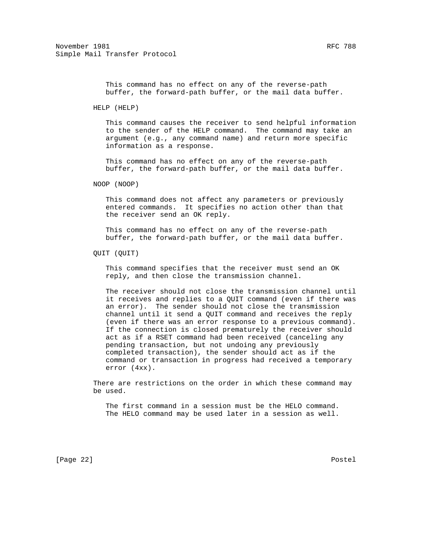This command has no effect on any of the reverse-path buffer, the forward-path buffer, or the mail data buffer.

HELP (HELP)

 This command causes the receiver to send helpful information to the sender of the HELP command. The command may take an argument (e.g., any command name) and return more specific information as a response.

 This command has no effect on any of the reverse-path buffer, the forward-path buffer, or the mail data buffer.

NOOP (NOOP)

 This command does not affect any parameters or previously entered commands. It specifies no action other than that the receiver send an OK reply.

 This command has no effect on any of the reverse-path buffer, the forward-path buffer, or the mail data buffer.

QUIT (QUIT)

 This command specifies that the receiver must send an OK reply, and then close the transmission channel.

 The receiver should not close the transmission channel until it receives and replies to a QUIT command (even if there was an error). The sender should not close the transmission channel until it send a QUIT command and receives the reply (even if there was an error response to a previous command). If the connection is closed prematurely the receiver should act as if a RSET command had been received (canceling any pending transaction, but not undoing any previously completed transaction), the sender should act as if the command or transaction in progress had received a temporary error (4xx).

 There are restrictions on the order in which these command may be used.

 The first command in a session must be the HELO command. The HELO command may be used later in a session as well.

[Page 22] Postel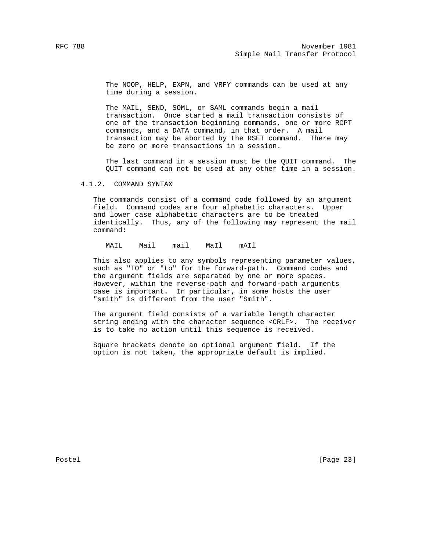The NOOP, HELP, EXPN, and VRFY commands can be used at any time during a session.

 The MAIL, SEND, SOML, or SAML commands begin a mail transaction. Once started a mail transaction consists of one of the transaction beginning commands, one or more RCPT commands, and a DATA command, in that order. A mail transaction may be aborted by the RSET command. There may be zero or more transactions in a session.

 The last command in a session must be the QUIT command. The QUIT command can not be used at any other time in a session.

4.1.2. COMMAND SYNTAX

 The commands consist of a command code followed by an argument field. Command codes are four alphabetic characters. Upper and lower case alphabetic characters are to be treated identically. Thus, any of the following may represent the mail command:

MAIL Mail mail MaIl mAIl

 This also applies to any symbols representing parameter values, such as "TO" or "to" for the forward-path. Command codes and the argument fields are separated by one or more spaces. However, within the reverse-path and forward-path arguments case is important. In particular, in some hosts the user "smith" is different from the user "Smith".

 The argument field consists of a variable length character string ending with the character sequence <CRLF>. The receiver is to take no action until this sequence is received.

 Square brackets denote an optional argument field. If the option is not taken, the appropriate default is implied.

Postel [Page 23]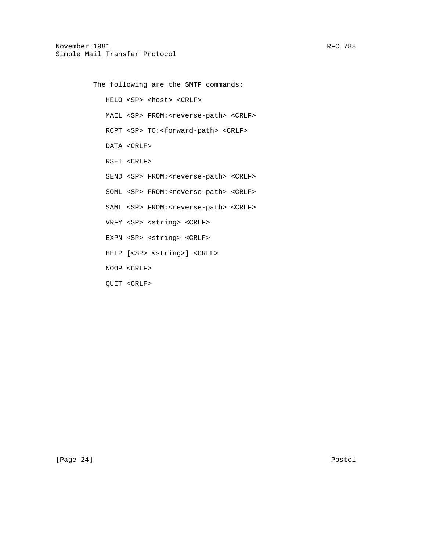The following are the SMTP commands: HELO <SP> <host> <CRLF> MAIL <SP> FROM:<reverse-path> <CRLF> RCPT <SP> TO:<forward-path> <CRLF> DATA <CRLF> RSET <CRLF> SEND <SP> FROM:<reverse-path> <CRLF> SOML <SP> FROM:<reverse-path> <CRLF> SAML <SP> FROM:<reverse-path> <CRLF> VRFY <SP> <string> <CRLF> EXPN <SP> <string> <CRLF> HELP [<SP> <string>] <CRLF> NOOP <CRLF> QUIT <CRLF>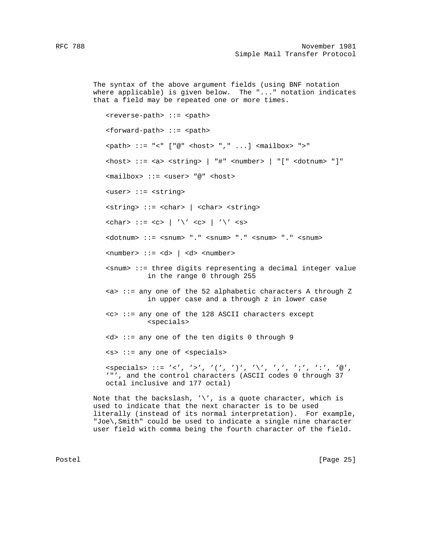The syntax of the above argument fields (using BNF notation where applicable) is given below. The "..." notation indicates that a field may be repeated one or more times. <reverse-path> ::= <path> <forward-path> ::= <path> <path> ::= "<" ["@" <host> "," ...] <mailbox> ">"  $\langle \text{host} \rangle$  ::=  $\langle \text{a} \rangle$   $\langle \text{string} \rangle$  | "#"  $\langle \text{number} \rangle$  | "["  $\langle \text{dotnum} \rangle$  "]" <mailbox> ::= <user> "@" <host> <user> ::= <string> <string> ::= <char> | <char> <string>  $\langle char \rangle$  ::=  $\langle cs \rangle$  | '\'  $\langle cs \rangle$  | '\'  $\langle ss \rangle$  $\langle$  <dotnum> ::=  $\langle$ snum> "."  $\langle$ snum> "."  $\langle$ snum>  $\langle$ "."  $\langle$ snum>  $\rangle$  $\langle$ number> ::= <d> | <d> <number> <snum> ::= three digits representing a decimal integer value in the range 0 through 255  $\langle a \rangle$  ::= any one of the 52 alphabetic characters A through Z in upper case and a through z in lower case <c> ::= any one of the 128 ASCII characters except <specials>  $<$ d> ::= any one of the ten digits 0 through 9 <s> ::= any one of <specials>  $\text{~sepcials} \, : := ' \, \langle \, ' , ' \rangle' , '('', ')', ' \, \langle \, ' , ' , ' , ' ; ' , ' ; ' , ' ; ' , ' @',$  '"', and the control characters (ASCII codes 0 through 37 octal inclusive and 177 octal) Note that the backslash,  $\sqrt{'}$ , is a quote character, which is used to indicate that the next character is to be used literally (instead of its normal interpretation). For example,

 "Joe\,Smith" could be used to indicate a single nine character user field with comma being the fourth character of the field.

Postel [Page 25]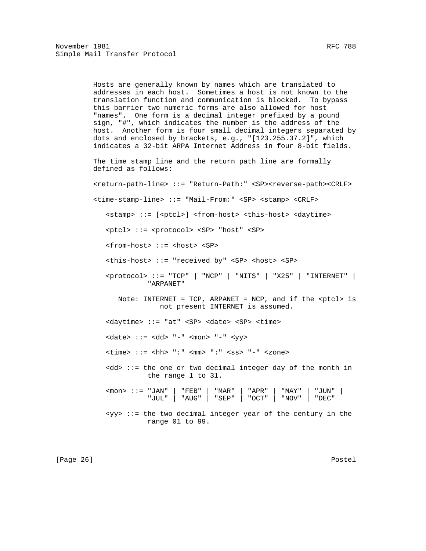Hosts are generally known by names which are translated to addresses in each host. Sometimes a host is not known to the translation function and communication is blocked. To bypass this barrier two numeric forms are also allowed for host "names". One form is a decimal integer prefixed by a pound sign, "#", which indicates the number is the address of the host. Another form is four small decimal integers separated by dots and enclosed by brackets, e.g., "[123.255.37.2]", which indicates a 32-bit ARPA Internet Address in four 8-bit fields. The time stamp line and the return path line are formally defined as follows: <return-path-line> ::= "Return-Path:" <SP><reverse-path><CRLF> <time-stamp-line> ::= "Mail-From:" <SP> <stamp> <CRLF> <stamp> ::= [<ptcl>] <from-host> <this-host> <daytime> <ptcl> ::= <protocol> <SP> "host" <SP> <from-host> ::= <host> <SP> <this-host> ::= "received by" <SP> <host> <SP> <protocol> ::= "TCP" | "NCP" | "NITS" | "X25" | "INTERNET" | "ARPANET" Note: INTERNET = TCP, ARPANET = NCP, and if the <ptcl> is not present INTERNET is assumed. <daytime> ::= "at" <SP> <date> <SP> <time> <date> ::= <dd> "-" <mon> "-" <yy> <time> ::= <hh> ":" <mm> ":" <ss> "-" <zone>  $\langle \text{dd} \rangle$  ::= the one or two decimal integer day of the month in the range 1 to 31. <mon> ::= "JAN" | "FEB" | "MAR" | "APR" | "MAY" | "JUN" | "JUL" | "AUG" | "SEP" | "OCT" | "NOV" | "DEC" <yy> ::= the two decimal integer year of the century in the range 01 to 99.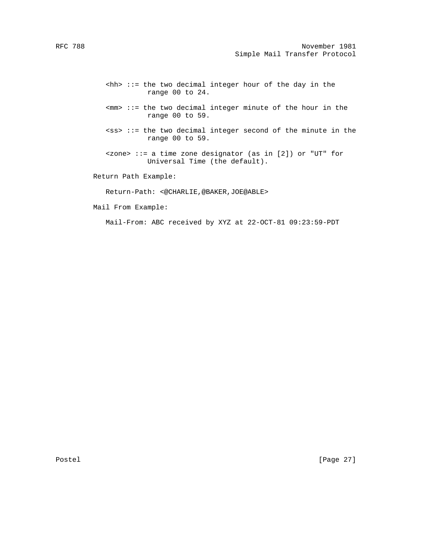- $\verb|>|:=$  the two decimal integer hour of the day in the range 00 to 24.
- <mm> ::= the two decimal integer minute of the hour in the range 00 to 59.
- <ss> ::= the two decimal integer second of the minute in the range 00 to 59.
- <zone> ::= a time zone designator (as in [2]) or "UT" for Universal Time (the default).

Return Path Example:

Return-Path: <@CHARLIE,@BAKER,JOE@ABLE>

Mail From Example:

Mail-From: ABC received by XYZ at 22-OCT-81 09:23:59-PDT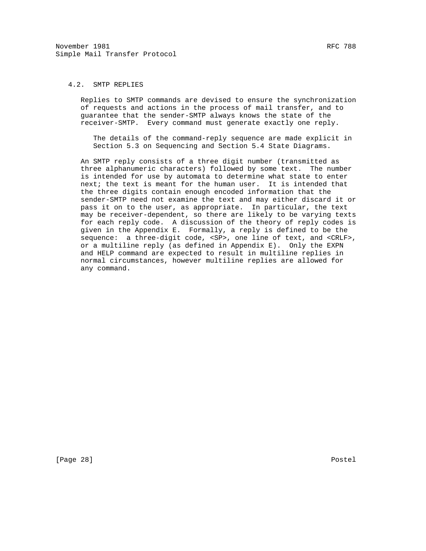## 4.2. SMTP REPLIES

 Replies to SMTP commands are devised to ensure the synchronization of requests and actions in the process of mail transfer, and to guarantee that the sender-SMTP always knows the state of the receiver-SMTP. Every command must generate exactly one reply.

 The details of the command-reply sequence are made explicit in Section 5.3 on Sequencing and Section 5.4 State Diagrams.

 An SMTP reply consists of a three digit number (transmitted as three alphanumeric characters) followed by some text. The number is intended for use by automata to determine what state to enter next; the text is meant for the human user. It is intended that the three digits contain enough encoded information that the sender-SMTP need not examine the text and may either discard it or pass it on to the user, as appropriate. In particular, the text may be receiver-dependent, so there are likely to be varying texts for each reply code. A discussion of the theory of reply codes is given in the Appendix E. Formally, a reply is defined to be the sequence: a three-digit code, <SP>, one line of text, and <CRLF>, or a multiline reply (as defined in Appendix E). Only the EXPN and HELP command are expected to result in multiline replies in normal circumstances, however multiline replies are allowed for any command.

[Page 28] Postel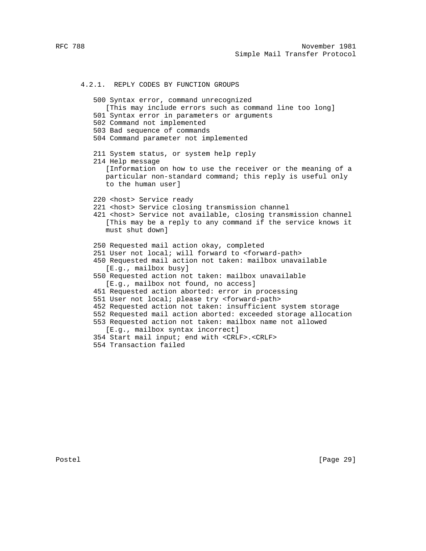4.2.1. REPLY CODES BY FUNCTION GROUPS 500 Syntax error, command unrecognized [This may include errors such as command line too long] 501 Syntax error in parameters or arguments 502 Command not implemented 503 Bad sequence of commands 504 Command parameter not implemented 211 System status, or system help reply 214 Help message [Information on how to use the receiver or the meaning of a particular non-standard command; this reply is useful only to the human user] 220 <host> Service ready 221 <host> Service closing transmission channel 421 <host> Service not available, closing transmission channel [This may be a reply to any command if the service knows it must shut down] 250 Requested mail action okay, completed 251 User not local; will forward to <forward-path> 450 Requested mail action not taken: mailbox unavailable [E.g., mailbox busy] 550 Requested action not taken: mailbox unavailable [E.g., mailbox not found, no access] 451 Requested action aborted: error in processing 551 User not local; please try <forward-path> 452 Requested action not taken: insufficient system storage 552 Requested mail action aborted: exceeded storage allocation 553 Requested action not taken: mailbox name not allowed [E.g., mailbox syntax incorrect]

354 Start mail input; end with <CRLF>.<CRLF>

554 Transaction failed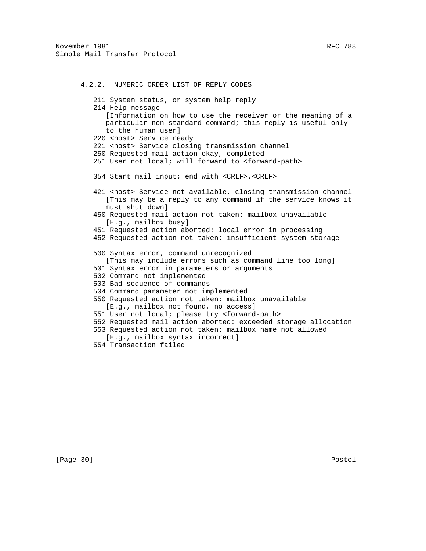4.2.2. NUMERIC ORDER LIST OF REPLY CODES 211 System status, or system help reply 214 Help message [Information on how to use the receiver or the meaning of a particular non-standard command; this reply is useful only to the human user] 220 <host> Service ready 221 <host> Service closing transmission channel 250 Requested mail action okay, completed 251 User not local; will forward to <forward-path> 354 Start mail input; end with <CRLF>.<CRLF> 421 <host> Service not available, closing transmission channel [This may be a reply to any command if the service knows it must shut down] 450 Requested mail action not taken: mailbox unavailable [E.g., mailbox busy] 451 Requested action aborted: local error in processing 452 Requested action not taken: insufficient system storage 500 Syntax error, command unrecognized [This may include errors such as command line too long] 501 Syntax error in parameters or arguments 502 Command not implemented 503 Bad sequence of commands 504 Command parameter not implemented 550 Requested action not taken: mailbox unavailable [E.g., mailbox not found, no access] 551 User not local; please try <forward-path> 552 Requested mail action aborted: exceeded storage allocation 553 Requested action not taken: mailbox name not allowed [E.g., mailbox syntax incorrect]

554 Transaction failed

[Page 30] Postel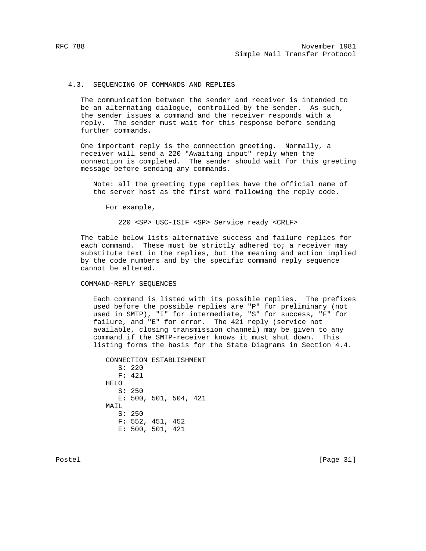#### 4.3. SEQUENCING OF COMMANDS AND REPLIES

 The communication between the sender and receiver is intended to be an alternating dialogue, controlled by the sender. As such, the sender issues a command and the receiver responds with a reply. The sender must wait for this response before sending further commands.

 One important reply is the connection greeting. Normally, a receiver will send a 220 "Awaiting input" reply when the connection is completed. The sender should wait for this greeting message before sending any commands.

> Note: all the greeting type replies have the official name of the server host as the first word following the reply code.

For example,

220 <SP> USC-ISIF <SP> Service ready <CRLF>

 The table below lists alternative success and failure replies for each command. These must be strictly adhered to; a receiver may substitute text in the replies, but the meaning and action implied by the code numbers and by the specific command reply sequence cannot be altered.

#### COMMAND-REPLY SEQUENCES

 Each command is listed with its possible replies. The prefixes used before the possible replies are "P" for preliminary (not used in SMTP), "I" for intermediate, "S" for success, "F" for failure, and "E" for error. The 421 reply (service not available, closing transmission channel) may be given to any command if the SMTP-receiver knows it must shut down. This listing forms the basis for the State Diagrams in Section 4.4.

 CONNECTION ESTABLISHMENT S: 220 F: 421 HELO S: 250 E: 500, 501, 504, 421 MAIL S: 250 F: 552, 451, 452 E: 500, 501, 421

Postel [Page 31]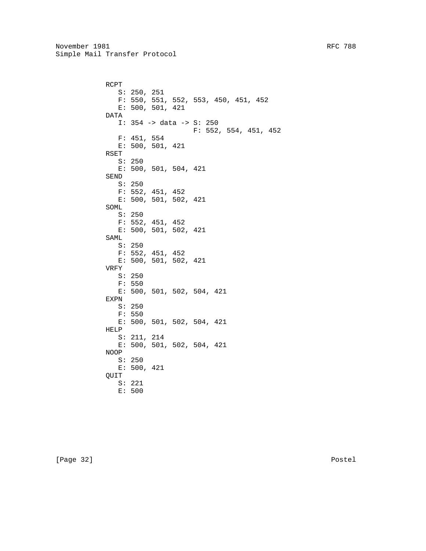```
 RCPT
   S: 250, 251
    F: 550, 551, 552, 553, 450, 451, 452
    E: 500, 501, 421
 DATA
    I: 354 -> data -> S: 250
                       F: 552, 554, 451, 452
    F: 451, 554
    E: 500, 501, 421
 RSET
    S: 250
    E: 500, 501, 504, 421
 SEND
    S: 250
    F: 552, 451, 452
    E: 500, 501, 502, 421
 SOML
    S: 250
    F: 552, 451, 452
    E: 500, 501, 502, 421
 SAML
    S: 250
    F: 552, 451, 452
    E: 500, 501, 502, 421
 VRFY
    S: 250
    F: 550
    E: 500, 501, 502, 504, 421
 EXPN
    S: 250
    F: 550
   E: 500, 501, 502, 504, 421
 HELP
    S: 211, 214
    E: 500, 501, 502, 504, 421
 NOOP
    S: 250
    E: 500, 421
 QUIT
    S: 221
    E: 500
```
[Page 32] Postel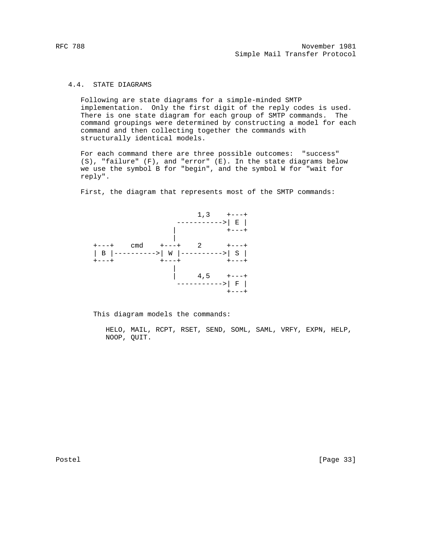## 4.4. STATE DIAGRAMS

 Following are state diagrams for a simple-minded SMTP implementation. Only the first digit of the reply codes is used. There is one state diagram for each group of SMTP commands. The command groupings were determined by constructing a model for each command and then collecting together the commands with structurally identical models.

 For each command there are three possible outcomes: "success" (S), "failure" (F), and "error" (E). In the state diagrams below we use the symbol B for "begin", and the symbol W for "wait for reply".

First, the diagram that represents most of the SMTP commands:



This diagram models the commands:

 HELO, MAIL, RCPT, RSET, SEND, SOML, SAML, VRFY, EXPN, HELP, NOOP, QUIT.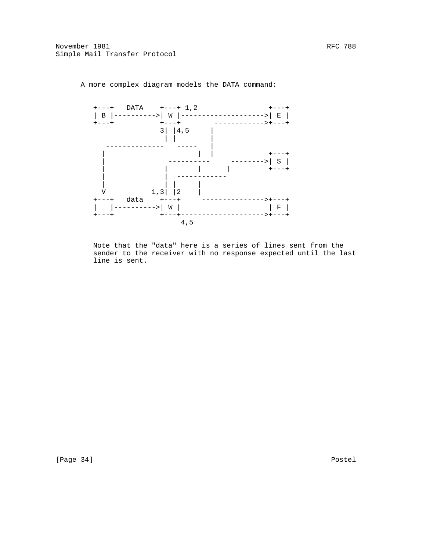

A more complex diagram models the DATA command:

 Note that the "data" here is a series of lines sent from the sender to the receiver with no response expected until the last line is sent.

[Page 34] Postel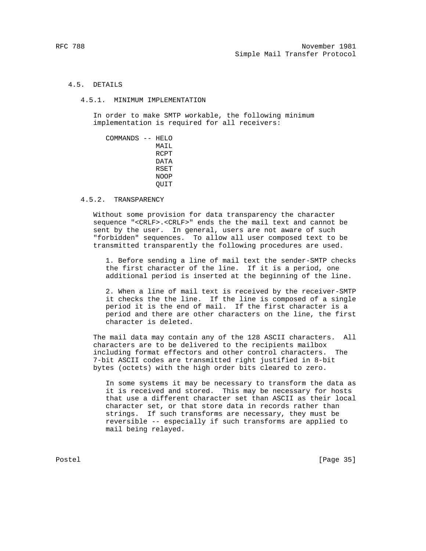### 4.5. DETAILS

## 4.5.1. MINIMUM IMPLEMENTATION

 In order to make SMTP workable, the following minimum implementation is required for all receivers:

 COMMANDS -- HELO MATT. RCPT DATA RSET NOOP QUIT

#### 4.5.2. TRANSPARENCY

 Without some provision for data transparency the character sequence "<CRLF>.<CRLF>" ends the the mail text and cannot be sent by the user. In general, users are not aware of such "forbidden" sequences. To allow all user composed text to be transmitted transparently the following procedures are used.

 1. Before sending a line of mail text the sender-SMTP checks the first character of the line. If it is a period, one additional period is inserted at the beginning of the line.

 2. When a line of mail text is received by the receiver-SMTP it checks the the line. If the line is composed of a single period it is the end of mail. If the first character is a period and there are other characters on the line, the first character is deleted.

 The mail data may contain any of the 128 ASCII characters. All characters are to be delivered to the recipients mailbox including format effectors and other control characters. The 7-bit ASCII codes are transmitted right justified in 8-bit bytes (octets) with the high order bits cleared to zero.

 In some systems it may be necessary to transform the data as it is received and stored. This may be necessary for hosts that use a different character set than ASCII as their local character set, or that store data in records rather than strings. If such transforms are necessary, they must be reversible -- especially if such transforms are applied to mail being relayed.

Postel [Page 35]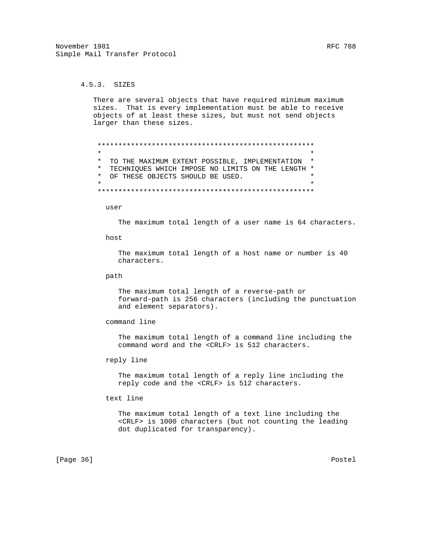## 4.5.3. SIZES

 There are several objects that have required minimum maximum sizes. That is every implementation must be able to receive objects of at least these sizes, but must not send objects larger than these sizes.

```
 ****************************************************
\star \star * TO THE MAXIMUM EXTENT POSSIBLE, IMPLEMENTATION *
        * TECHNIQUES WHICH IMPOSE NO LIMITS ON THE LENGTH *
        * OF THESE OBJECTS SHOULD BE USED. *
\star *
        ****************************************************
```
user

The maximum total length of a user name is 64 characters.

host

 The maximum total length of a host name or number is 40 characters.

path

 The maximum total length of a reverse-path or forward-path is 256 characters (including the punctuation and element separators).

command line

 The maximum total length of a command line including the command word and the <CRLF> is 512 characters.

reply line

 The maximum total length of a reply line including the reply code and the <CRLF> is 512 characters.

text line

 The maximum total length of a text line including the <CRLF> is 1000 characters (but not counting the leading dot duplicated for transparency).

[Page 36] Postel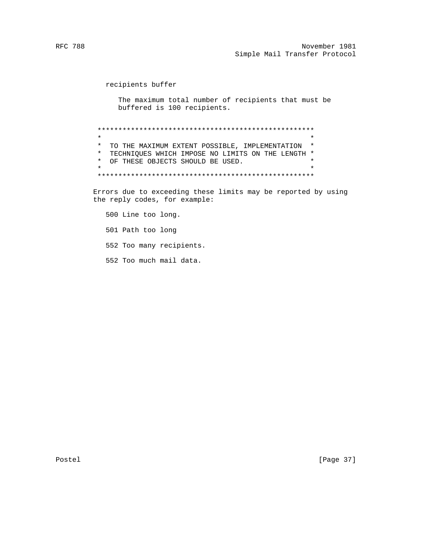recipients buffer

 The maximum total number of recipients that must be buffered is 100 recipients.

 \*\*\*\*\*\*\*\*\*\*\*\*\*\*\*\*\*\*\*\*\*\*\*\*\*\*\*\*\*\*\*\*\*\*\*\*\*\*\*\*\*\*\*\*\*\*\*\*\*\*\*\*  $\star$  \* \* TO THE MAXIMUM EXTENT POSSIBLE, IMPLEMENTATION \* \* TECHNIQUES WHICH IMPOSE NO LIMITS ON THE LENGTH \* \* OF THESE OBJECTS SHOULD BE USED.  $*$  $\star$   $\star$ \*\*\*\*\*\*\*\*\*\*\*\*\*\*\*\*\*\*\*\*\*\*\*\*\*\*\*\*\*\*\*\*\*\*\*\*\*\*\*\*\*\*\*\*\*\*\*\*\*\*\*\*

> Errors due to exceeding these limits may be reported by using the reply codes, for example:

 500 Line too long. 501 Path too long 552 Too many recipients. 552 Too much mail data.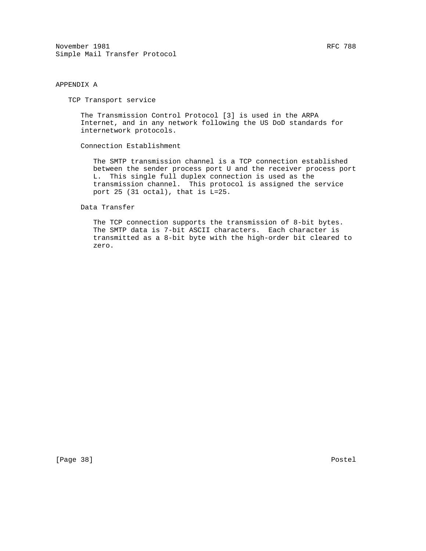November 1981 RFC 788 Simple Mail Transfer Protocol

## APPENDIX A

TCP Transport service

 The Transmission Control Protocol [3] is used in the ARPA Internet, and in any network following the US DoD standards for internetwork protocols.

### Connection Establishment

 The SMTP transmission channel is a TCP connection established between the sender process port U and the receiver process port L. This single full duplex connection is used as the transmission channel. This protocol is assigned the service port 25 (31 octal), that is L=25.

Data Transfer

 The TCP connection supports the transmission of 8-bit bytes. The SMTP data is 7-bit ASCII characters. Each character is transmitted as a 8-bit byte with the high-order bit cleared to zero.

[Page 38] Postel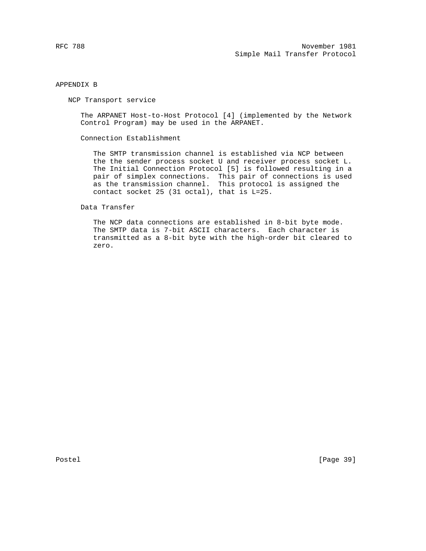## APPENDIX B

NCP Transport service

 The ARPANET Host-to-Host Protocol [4] (implemented by the Network Control Program) may be used in the ARPANET.

Connection Establishment

 The SMTP transmission channel is established via NCP between the the sender process socket U and receiver process socket L. The Initial Connection Protocol [5] is followed resulting in a pair of simplex connections. This pair of connections is used as the transmission channel. This protocol is assigned the contact socket 25 (31 octal), that is L=25.

Data Transfer

 The NCP data connections are established in 8-bit byte mode. The SMTP data is 7-bit ASCII characters. Each character is transmitted as a 8-bit byte with the high-order bit cleared to zero.

Postel [Page 39]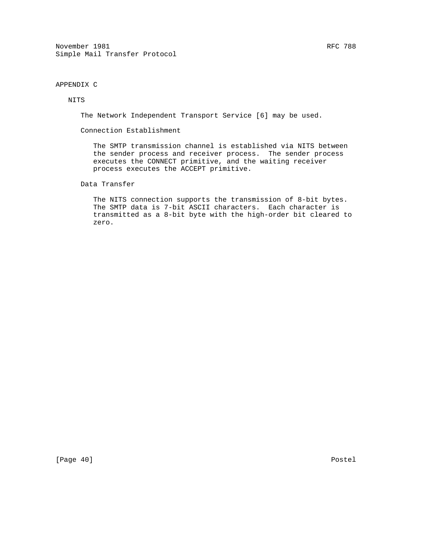## APPENDIX C

NITS

The Network Independent Transport Service [6] may be used.

Connection Establishment

 The SMTP transmission channel is established via NITS between the sender process and receiver process. The sender process executes the CONNECT primitive, and the waiting receiver process executes the ACCEPT primitive.

Data Transfer

 The NITS connection supports the transmission of 8-bit bytes. The SMTP data is 7-bit ASCII characters. Each character is transmitted as a 8-bit byte with the high-order bit cleared to zero.

[Page 40] Postel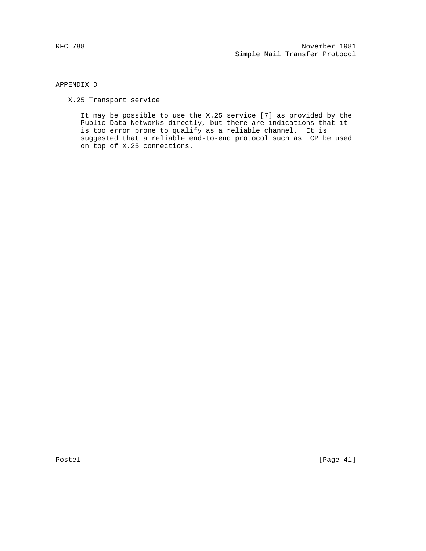## APPENDIX D

X.25 Transport service

 It may be possible to use the X.25 service [7] as provided by the Public Data Networks directly, but there are indications that it is too error prone to qualify as a reliable channel. It is suggested that a reliable end-to-end protocol such as TCP be used on top of X.25 connections.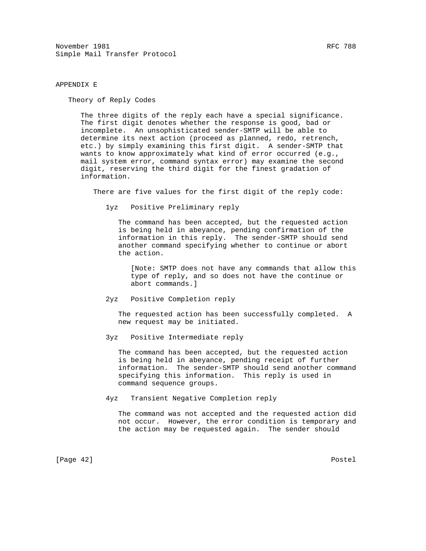November 1981 RFC 788 Simple Mail Transfer Protocol

APPENDIX E

Theory of Reply Codes

 The three digits of the reply each have a special significance. The first digit denotes whether the response is good, bad or incomplete. An unsophisticated sender-SMTP will be able to determine its next action (proceed as planned, redo, retrench, etc.) by simply examining this first digit. A sender-SMTP that wants to know approximately what kind of error occurred (e.g., mail system error, command syntax error) may examine the second digit, reserving the third digit for the finest gradation of information.

There are five values for the first digit of the reply code:

1yz Positive Preliminary reply

 The command has been accepted, but the requested action is being held in abeyance, pending confirmation of the information in this reply. The sender-SMTP should send another command specifying whether to continue or abort the action.

 [Note: SMTP does not have any commands that allow this type of reply, and so does not have the continue or abort commands.]

2yz Positive Completion reply

 The requested action has been successfully completed. A new request may be initiated.

3yz Positive Intermediate reply

 The command has been accepted, but the requested action is being held in abeyance, pending receipt of further information. The sender-SMTP should send another command specifying this information. This reply is used in command sequence groups.

4yz Transient Negative Completion reply

 The command was not accepted and the requested action did not occur. However, the error condition is temporary and the action may be requested again. The sender should

[Page 42] Postel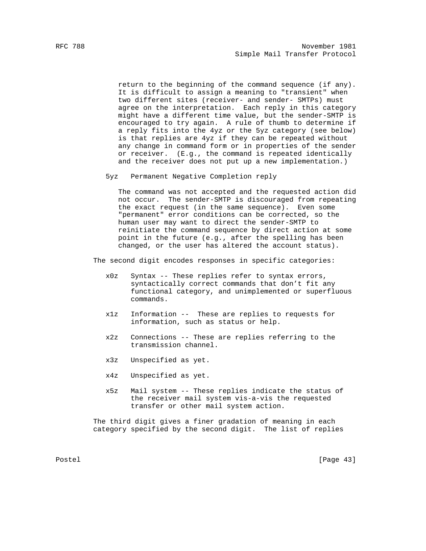return to the beginning of the command sequence (if any). It is difficult to assign a meaning to "transient" when two different sites (receiver- and sender- SMTPs) must agree on the interpretation. Each reply in this category might have a different time value, but the sender-SMTP is encouraged to try again. A rule of thumb to determine if a reply fits into the 4yz or the 5yz category (see below) is that replies are 4yz if they can be repeated without any change in command form or in properties of the sender or receiver. (E.g., the command is repeated identically and the receiver does not put up a new implementation.)

5yz Permanent Negative Completion reply

 The command was not accepted and the requested action did not occur. The sender-SMTP is discouraged from repeating the exact request (in the same sequence). Even some "permanent" error conditions can be corrected, so the human user may want to direct the sender-SMTP to reinitiate the command sequence by direct action at some point in the future (e.g., after the spelling has been changed, or the user has altered the account status).

The second digit encodes responses in specific categories:

- x0z Syntax -- These replies refer to syntax errors, syntactically correct commands that don't fit any functional category, and unimplemented or superfluous commands.
- x1z Information -- These are replies to requests for information, such as status or help.
- x2z Connections -- These are replies referring to the transmission channel.
- x3z Unspecified as yet.
- x4z Unspecified as yet.
- x5z Mail system -- These replies indicate the status of the receiver mail system vis-a-vis the requested transfer or other mail system action.

 The third digit gives a finer gradation of meaning in each category specified by the second digit. The list of replies

Postel [Page 43]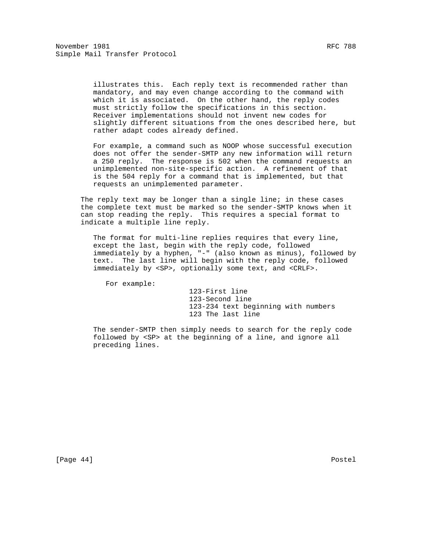illustrates this. Each reply text is recommended rather than mandatory, and may even change according to the command with which it is associated. On the other hand, the reply codes must strictly follow the specifications in this section. Receiver implementations should not invent new codes for slightly different situations from the ones described here, but rather adapt codes already defined.

 For example, a command such as NOOP whose successful execution does not offer the sender-SMTP any new information will return a 250 reply. The response is 502 when the command requests an unimplemented non-site-specific action. A refinement of that is the 504 reply for a command that is implemented, but that requests an unimplemented parameter.

The reply text may be longer than a single line; in these cases the complete text must be marked so the sender-SMTP knows when it can stop reading the reply. This requires a special format to indicate a multiple line reply.

 The format for multi-line replies requires that every line, except the last, begin with the reply code, followed immediately by a hyphen, "-" (also known as minus), followed by text. The last line will begin with the reply code, followed immediately by <SP>, optionally some text, and <CRLF>.

For example:

 123-First line 123-Second line 123-234 text beginning with numbers 123 The last line

 The sender-SMTP then simply needs to search for the reply code followed by <SP> at the beginning of a line, and ignore all preceding lines.

[Page 44] Postel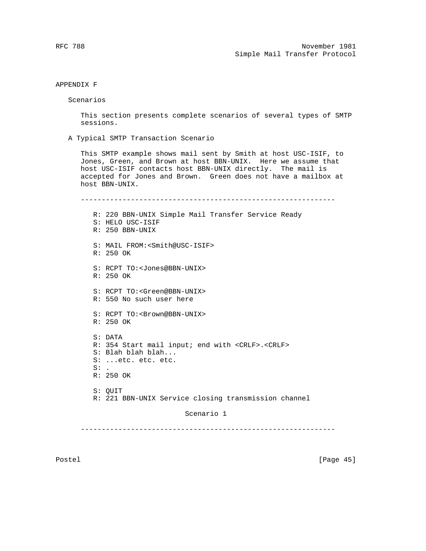## APPENDIX F

Scenarios

 This section presents complete scenarios of several types of SMTP sessions.

A Typical SMTP Transaction Scenario

 This SMTP example shows mail sent by Smith at host USC-ISIF, to Jones, Green, and Brown at host BBN-UNIX. Here we assume that host USC-ISIF contacts host BBN-UNIX directly. The mail is accepted for Jones and Brown. Green does not have a mailbox at host BBN-UNIX.

-------------------------------------------------------------

 R: 220 BBN-UNIX Simple Mail Transfer Service Ready S: HELO USC-ISIF R: 250 BBN-UNIX S: MAIL FROM:<Smith@USC-ISIF> R: 250 OK S: RCPT TO:<Jones@BBN-UNIX> R: 250 OK S: RCPT TO:<Green@BBN-UNIX> R: 550 No such user here S: RCPT TO:<Brown@BBN-UNIX> R: 250 OK S: DATA R: 354 Start mail input; end with <CRLF>.<CRLF> S: Blah blah blah... S: ...etc. etc. etc.  $S:$ . R: 250 OK S: QUIT R: 221 BBN-UNIX Service closing transmission channel Scenario 1

-------------------------------------------------------------

Postel [Page 45]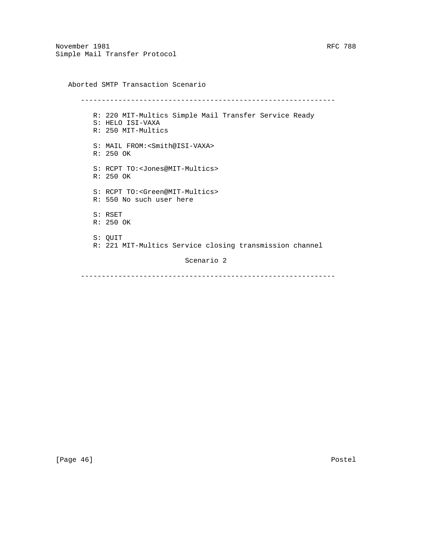November 1981 RFC 788 Simple Mail Transfer Protocol

 Aborted SMTP Transaction Scenario ------------------------------------------------------------- R: 220 MIT-Multics Simple Mail Transfer Service Ready S: HELO ISI-VAXA R: 250 MIT-Multics S: MAIL FROM:<Smith@ISI-VAXA> R: 250 OK S: RCPT TO:<Jones@MIT-Multics> R: 250 OK S: RCPT TO:<Green@MIT-Multics> R: 550 No such user here S: RSET R: 250 OK S: QUIT R: 221 MIT-Multics Service closing transmission channel Scenario 2

-------------------------------------------------------------

[Page 46] Postel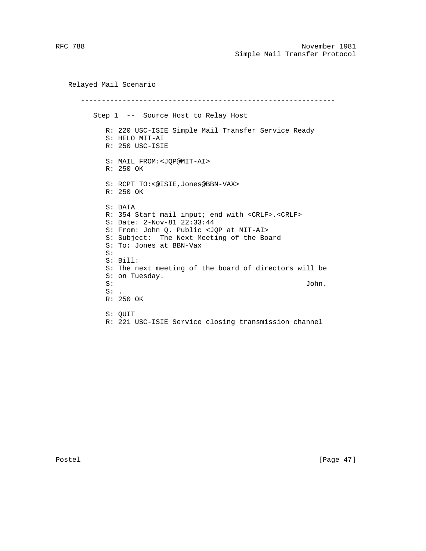Relayed Mail Scenario

 ------------------------------------------------------------- Step 1 -- Source Host to Relay Host R: 220 USC-ISIE Simple Mail Transfer Service Ready S: HELO MIT-AI R: 250 USC-ISIE S: MAIL FROM:<JQP@MIT-AI> R: 250 OK S: RCPT TO:<@ISIE,Jones@BBN-VAX> R: 250 OK S: DATA R: 354 Start mail input; end with <CRLF>.<CRLF> S: Date: 2-Nov-81 22:33:44 S: From: John Q. Public <JQP at MIT-AI> S: Subject: The Next Meeting of the Board S: To: Jones at BBN-Vax S: S: Bill: S: The next meeting of the board of directors will be S: on Tuesday.<br>S:  $S:$  John.  $S:$  . R: 250 OK S: QUIT R: 221 USC-ISIE Service closing transmission channel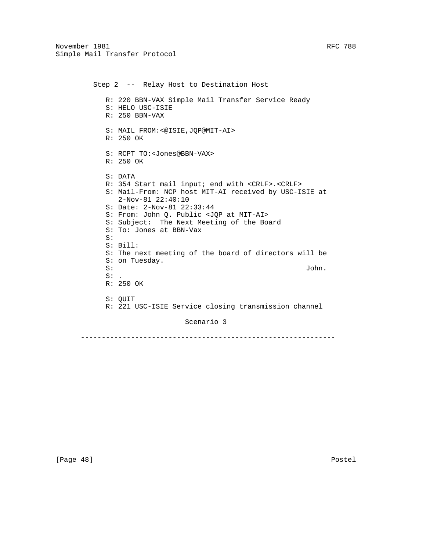```
 Step 2 -- Relay Host to Destination Host
            R: 220 BBN-VAX Simple Mail Transfer Service Ready
            S: HELO USC-ISIE
            R: 250 BBN-VAX
            S: MAIL FROM:<@ISIE,JQP@MIT-AI>
            R: 250 OK
            S: RCPT TO:<Jones@BBN-VAX>
            R: 250 OK
            S: DATA
            R: 354 Start mail input; end with <CRLF>.<CRLF>
            S: Mail-From: NCP host MIT-AI received by USC-ISIE at
               2-Nov-81 22:40:10
            S: Date: 2-Nov-81 22:33:44
            S: From: John Q. Public <JQP at MIT-AI>
            S: Subject: The Next Meeting of the Board
            S: To: Jones at BBN-Vax
            S:
            S: Bill:
            S: The next meeting of the board of directors will be
           S: on Tuesday.<br>S:
S: John.
           S: .
           R: 250 OK
            S: QUIT
            R: 221 USC-ISIE Service closing transmission channel
                              Scenario 3
```
-------------------------------------------------------------

[Page 48] Postel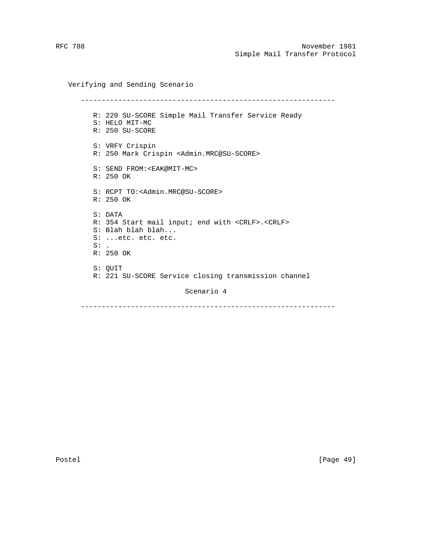Verifying and Sending Scenario

 ------------------------------------------------------------- R: 220 SU-SCORE Simple Mail Transfer Service Ready S: HELO MIT-MC R: 250 SU-SCORE S: VRFY Crispin R: 250 Mark Crispin <Admin.MRC@SU-SCORE> S: SEND FROM:<EAK@MIT-MC> R: 250 OK S: RCPT TO:<Admin.MRC@SU-SCORE> R: 250 OK S: DATA R: 354 Start mail input; end with <CRLF>.<CRLF> S: Blah blah blah... S: ...etc. etc. etc.  $S:$ . R: 250 OK S: QUIT R: 221 SU-SCORE Service closing transmission channel Scenario 4

-------------------------------------------------------------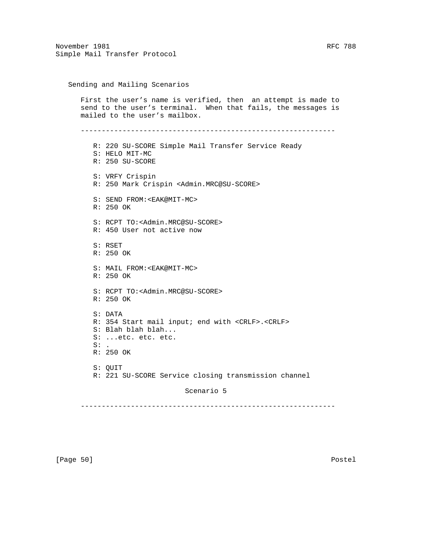November 1981 RFC 788 Simple Mail Transfer Protocol

 Sending and Mailing Scenarios First the user's name is verified, then an attempt is made to send to the user's terminal. When that fails, the messages is mailed to the user's mailbox. ------------------------------------------------------------- R: 220 SU-SCORE Simple Mail Transfer Service Ready S: HELO MIT-MC R: 250 SU-SCORE S: VRFY Crispin R: 250 Mark Crispin <Admin.MRC@SU-SCORE> S: SEND FROM:<EAK@MIT-MC> R: 250 OK S: RCPT TO:<Admin.MRC@SU-SCORE> R: 450 User not active now S: RSET R: 250 OK S: MAIL FROM:<EAK@MIT-MC> R: 250 OK S: RCPT TO:<Admin.MRC@SU-SCORE> R: 250 OK S: DATA R: 354 Start mail input; end with <CRLF>.<CRLF> S: Blah blah blah... S: ...etc. etc. etc.  $S:$  R: 250 OK S: QUIT R: 221 SU-SCORE Service closing transmission channel Scenario 5 -------------------------------------------------------------

[Page 50] Postel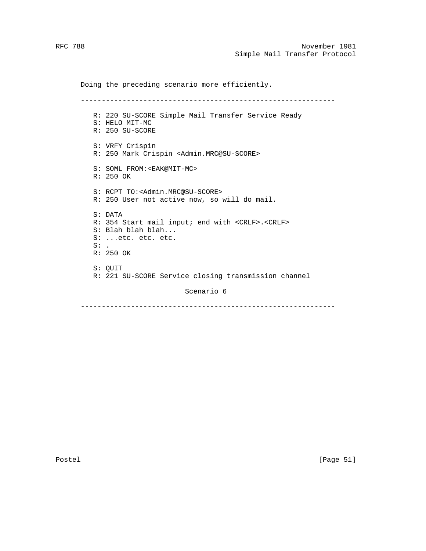Doing the preceding scenario more efficiently. ------------------------------------------------------------- R: 220 SU-SCORE Simple Mail Transfer Service Ready S: HELO MIT-MC R: 250 SU-SCORE S: VRFY Crispin R: 250 Mark Crispin <Admin.MRC@SU-SCORE> S: SOML FROM:<EAK@MIT-MC> R: 250 OK S: RCPT TO:<Admin.MRC@SU-SCORE> R: 250 User not active now, so will do mail. S: DATA R: 354 Start mail input; end with <CRLF>.<CRLF> S: Blah blah blah... S: ...etc. etc. etc.  $S:$  R: 250 OK S: QUIT R: 221 SU-SCORE Service closing transmission channel Scenario 6

-------------------------------------------------------------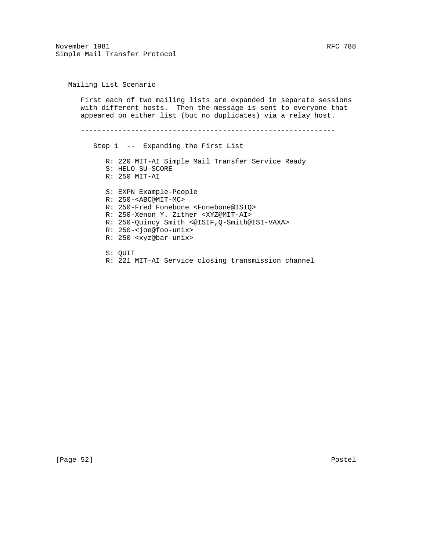November 1981 RFC 788 Simple Mail Transfer Protocol

 Mailing List Scenario First each of two mailing lists are expanded in separate sessions with different hosts. Then the message is sent to everyone that appeared on either list (but no duplicates) via a relay host. ------------------------------------------------------------- Step 1 -- Expanding the First List R: 220 MIT-AI Simple Mail Transfer Service Ready S: HELO SU-SCORE R: 250 MIT-AI S: EXPN Example-People R: 250-<ABC@MIT-MC> R: 250-Fred Fonebone <Fonebone@ISIQ> R: 250-Xenon Y. Zither <XYZ@MIT-AI> R: 250-Quincy Smith <@ISIF,Q-Smith@ISI-VAXA> R: 250-<joe@foo-unix> R: 250 <xyz@bar-unix> S: QUIT R: 221 MIT-AI Service closing transmission channel

[Page 52] Postel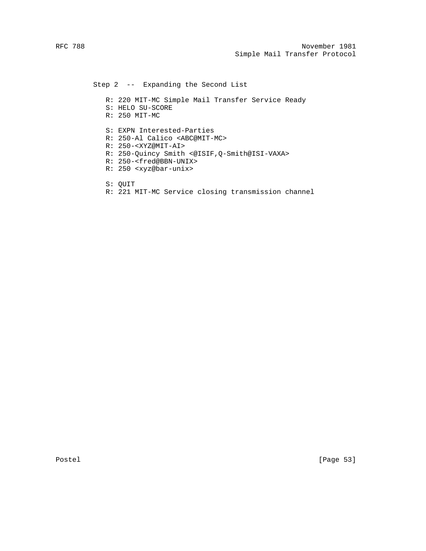Step 2 -- Expanding the Second List R: 220 MIT-MC Simple Mail Transfer Service Ready S: HELO SU-SCORE R: 250 MIT-MC S: EXPN Interested-Parties R: 250-Al Calico <ABC@MIT-MC> R: 250-<XYZ@MIT-AI> R: 250-Quincy Smith <@ISIF,Q-Smith@ISI-VAXA> R: 250-<fred@BBN-UNIX> R: 250 <xyz@bar-unix> S: QUIT

R: 221 MIT-MC Service closing transmission channel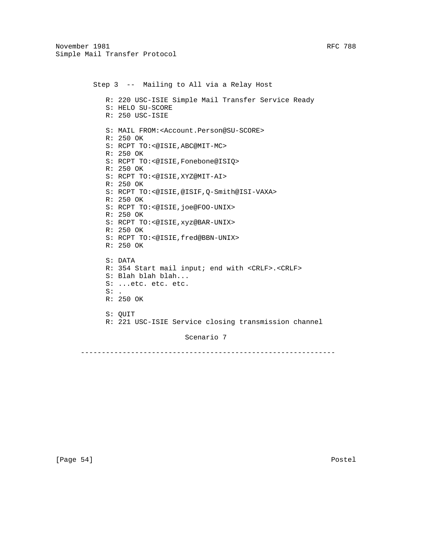Step 3 -- Mailing to All via a Relay Host R: 220 USC-ISIE Simple Mail Transfer Service Ready S: HELO SU-SCORE R: 250 USC-ISIE S: MAIL FROM:<Account.Person@SU-SCORE> R: 250 OK S: RCPT TO:<@ISIE,ABC@MIT-MC> R: 250 OK S: RCPT TO:<@ISIE,Fonebone@ISIQ> R: 250 OK S: RCPT TO:<@ISIE,XYZ@MIT-AI> R: 250 OK S: RCPT TO:<@ISIE,@ISIF,Q-Smith@ISI-VAXA> R: 250 OK S: RCPT TO:<@ISIE,joe@FOO-UNIX> R: 250 OK S: RCPT TO:<@ISIE,xyz@BAR-UNIX> R: 250 OK S: RCPT TO:<@ISIE,fred@BBN-UNIX> R: 250 OK S: DATA R: 354 Start mail input; end with <CRLF>.<CRLF> S: Blah blah blah... S: ...etc. etc. etc.  $S:$ . R: 250 OK S: QUIT R: 221 USC-ISIE Service closing transmission channel

### Scenario 7

-------------------------------------------------------------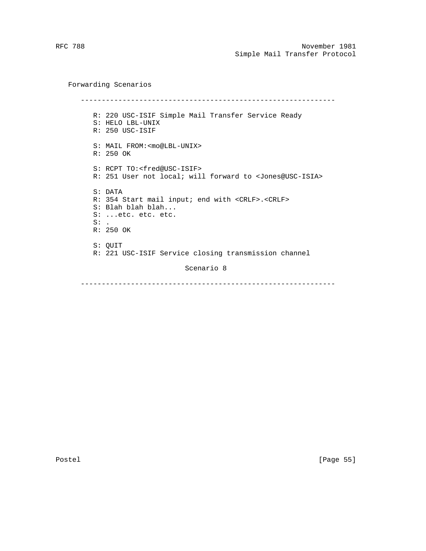Forwarding Scenarios ------------------------------------------------------------- R: 220 USC-ISIF Simple Mail Transfer Service Ready S: HELO LBL-UNIX R: 250 USC-ISIF S: MAIL FROM:<mo@LBL-UNIX> R: 250 OK S: RCPT TO:<fred@USC-ISIF> R: 251 User not local; will forward to <Jones@USC-ISIA> S: DATA R: 354 Start mail input; end with <CRLF>.<CRLF> S: Blah blah blah... S: ...etc. etc. etc.  $S:$ . R: 250 OK S: QUIT R: 221 USC-ISIF Service closing transmission channel

Scenario 8

-------------------------------------------------------------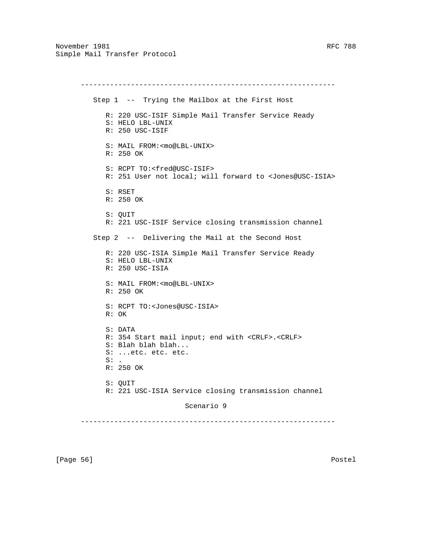------------------------------------------------------------- Step 1 -- Trying the Mailbox at the First Host R: 220 USC-ISIF Simple Mail Transfer Service Ready S: HELO LBL-UNIX R: 250 USC-ISIF S: MAIL FROM:<mo@LBL-UNIX> R: 250 OK S: RCPT TO:<fred@USC-ISIF> R: 251 User not local; will forward to <Jones@USC-ISIA> S: RSET R: 250 OK S: QUIT R: 221 USC-ISIF Service closing transmission channel Step 2 -- Delivering the Mail at the Second Host R: 220 USC-ISIA Simple Mail Transfer Service Ready S: HELO LBL-UNIX R: 250 USC-ISIA S: MAIL FROM:<mo@LBL-UNIX> R: 250 OK S: RCPT TO:<Jones@USC-ISIA> R: OK S: DATA R: 354 Start mail input; end with <CRLF>.<CRLF> S: Blah blah blah... S: ...etc. etc. etc.  $S:$  . R: 250 OK S: QUIT R: 221 USC-ISIA Service closing transmission channel Scenario 9

-------------------------------------------------------------

[Page 56] Postel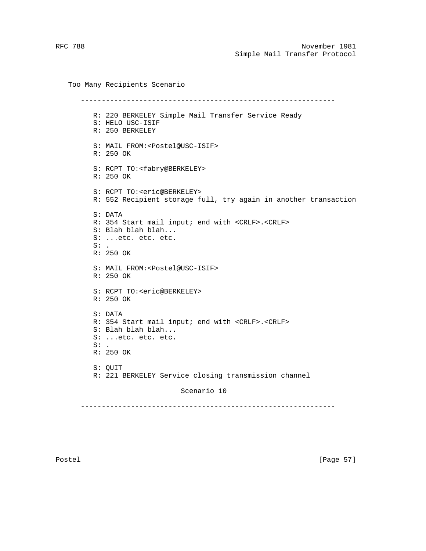Too Many Recipients Scenario ------------------------------------------------------------- R: 220 BERKELEY Simple Mail Transfer Service Ready S: HELO USC-ISIF R: 250 BERKELEY S: MAIL FROM:<Postel@USC-ISIF> R: 250 OK S: RCPT TO:<fabry@BERKELEY> R: 250 OK S: RCPT TO:<eric@BERKELEY> R: 552 Recipient storage full, try again in another transaction S: DATA R: 354 Start mail input; end with <CRLF>.<CRLF> S: Blah blah blah... S: ...etc. etc. etc.  $S:$ . R: 250 OK S: MAIL FROM:<Postel@USC-ISIF> R: 250 OK S: RCPT TO:<eric@BERKELEY> R: 250 OK S: DATA R: 354 Start mail input; end with <CRLF>.<CRLF> S: Blah blah blah... S: ...etc. etc. etc.  $S:$ . R: 250 OK S: QUIT R: 221 BERKELEY Service closing transmission channel Scenario 10

-------------------------------------------------------------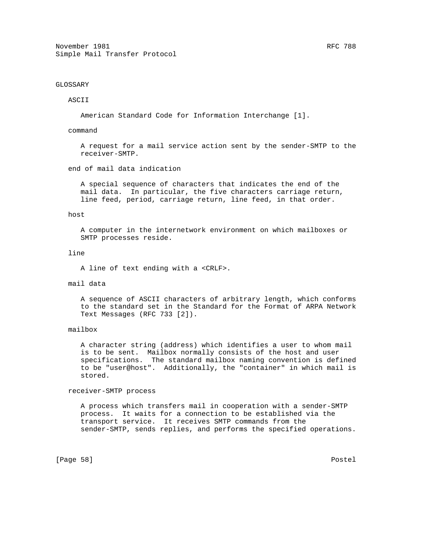### GLOSSARY

#### ASCII

American Standard Code for Information Interchange [1].

#### command

 A request for a mail service action sent by the sender-SMTP to the receiver-SMTP.

end of mail data indication

 A special sequence of characters that indicates the end of the mail data. In particular, the five characters carriage return, line feed, period, carriage return, line feed, in that order.

#### host

 A computer in the internetwork environment on which mailboxes or SMTP processes reside.

#### line

A line of text ending with a <CRLF>.

#### mail data

 A sequence of ASCII characters of arbitrary length, which conforms to the standard set in the Standard for the Format of ARPA Network Text Messages (RFC 733 [2]).

### mailbox

 A character string (address) which identifies a user to whom mail is to be sent. Mailbox normally consists of the host and user specifications. The standard mailbox naming convention is defined to be "user@host". Additionally, the "container" in which mail is stored.

#### receiver-SMTP process

 A process which transfers mail in cooperation with a sender-SMTP process. It waits for a connection to be established via the transport service. It receives SMTP commands from the sender-SMTP, sends replies, and performs the specified operations.

[Page 58] Postel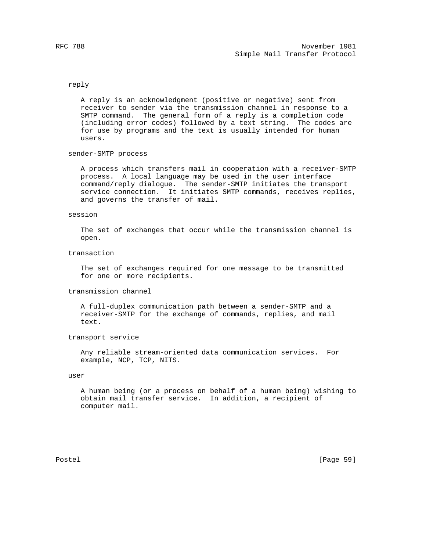### reply

 A reply is an acknowledgment (positive or negative) sent from receiver to sender via the transmission channel in response to a SMTP command. The general form of a reply is a completion code (including error codes) followed by a text string. The codes are for use by programs and the text is usually intended for human users.

#### sender-SMTP process

 A process which transfers mail in cooperation with a receiver-SMTP process. A local language may be used in the user interface command/reply dialogue. The sender-SMTP initiates the transport service connection. It initiates SMTP commands, receives replies, and governs the transfer of mail.

### session

 The set of exchanges that occur while the transmission channel is open.

#### transaction

 The set of exchanges required for one message to be transmitted for one or more recipients.

#### transmission channel

 A full-duplex communication path between a sender-SMTP and a receiver-SMTP for the exchange of commands, replies, and mail text.

#### transport service

 Any reliable stream-oriented data communication services. For example, NCP, TCP, NITS.

#### user

 A human being (or a process on behalf of a human being) wishing to obtain mail transfer service. In addition, a recipient of computer mail.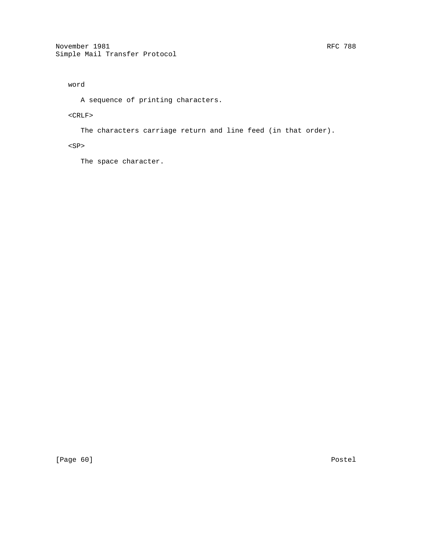## word

A sequence of printing characters.

# <CRLF>

The characters carriage return and line feed (in that order).

 $<\!{\rm SP}\!>$ 

The space character.

[Page 60] Postel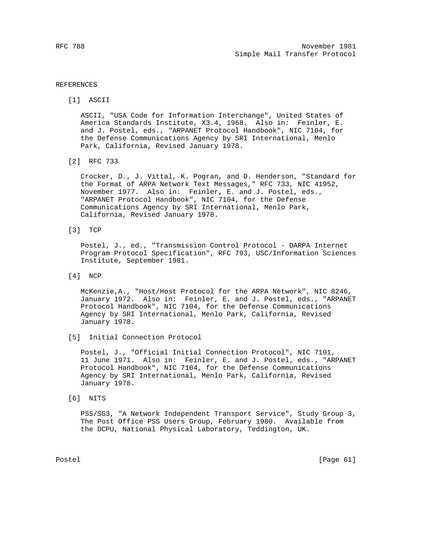#### REFERENCES

[1] ASCII

 ASCII, "USA Code for Information Interchange", United States of America Standards Institute, X3.4, 1968. Also in: Feinler, E. and J. Postel, eds., "ARPANET Protocol Handbook", NIC 7104, for the Defense Communications Agency by SRI International, Menlo Park, California, Revised January 1978.

[2] RFC 733

 Crocker, D., J. Vittal, K. Pogran, and D. Henderson, "Standard for the Format of ARPA Network Text Messages," RFC 733, NIC 41952, November 1977. Also in: Feinler, E. and J. Postel, eds., "ARPANET Protocol Handbook", NIC 7104, for the Defense Communications Agency by SRI International, Menlo Park, California, Revised January 1978.

[3] TCP

 Postel, J., ed., "Transmission Control Protocol - DARPA Internet Program Protocol Specification", RFC 793, USC/Information Sciences Institute, September 1981.

[4] NCP

 McKenzie,A., "Host/Host Protocol for the ARPA Network", NIC 8246, January 1972. Also in: Feinler, E. and J. Postel, eds., "ARPANET Protocol Handbook", NIC 7104, for the Defense Communications Agency by SRI International, Menlo Park, California, Revised January 1978.

[5] Initial Connection Protocol

 Postel, J., "Official Initial Connection Protocol", NIC 7101, 11 June 1971. Also in: Feinler, E. and J. Postel, eds., "ARPANET Protocol Handbook", NIC 7104, for the Defense Communications Agency by SRI International, Menlo Park, California, Revised January 1978.

[6] NITS

 PSS/SG3, "A Network Independent Transport Service", Study Group 3, The Post Office PSS Users Group, February 1980. Available from the DCPU, National Physical Laboratory, Teddington, UK.

Postel [Page 61]